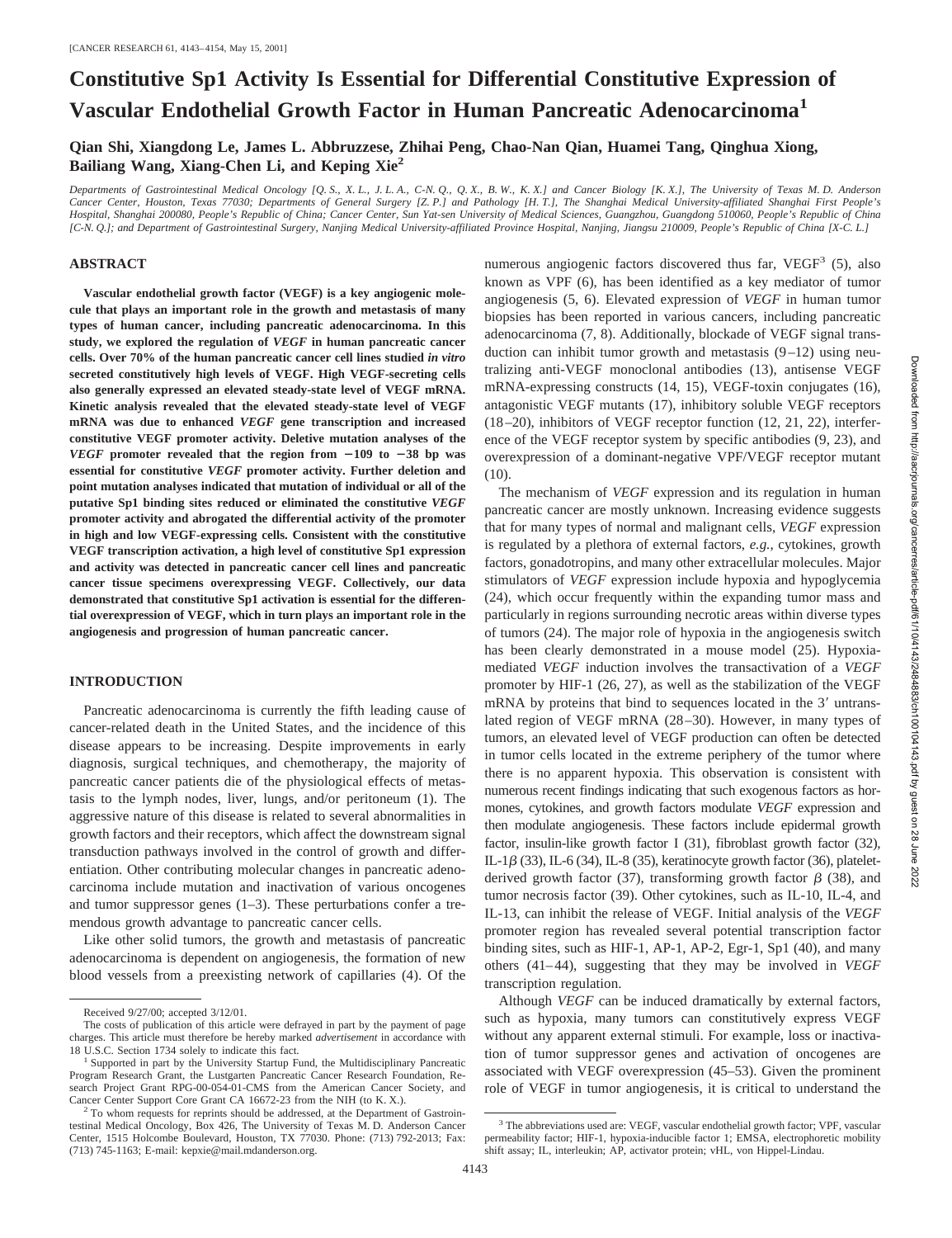# **Constitutive Sp1 Activity Is Essential for Differential Constitutive Expression of Vascular Endothelial Growth Factor in Human Pancreatic Adenocarcinoma<sup>1</sup>**

**Qian Shi, Xiangdong Le, James L. Abbruzzese, Zhihai Peng, Chao-Nan Qian, Huamei Tang, Qinghua Xiong, Bailiang Wang, Xiang-Chen Li, and Keping Xie2**

*Departments of Gastrointestinal Medical Oncology [Q. S., X. L., J. L. A., C-N. Q., Q. X., B. W., K. X.] and Cancer Biology [K. X.], The University of Texas M. D. Anderson Cancer Center, Houston, Texas 77030; Departments of General Surgery [Z. P.] and Pathology [H. T.], The Shanghai Medical University-affiliated Shanghai First People's Hospital, Shanghai 200080, People's Republic of China; Cancer Center, Sun Yat-sen University of Medical Sciences, Guangzhou, Guangdong 510060, People's Republic of China [C-N. Q.]; and Department of Gastrointestinal Surgery, Nanjing Medical University-affiliated Province Hospital, Nanjing, Jiangsu 210009, People's Republic of China [X-C. L.]*

#### **ABSTRACT**

**Vascular endothelial growth factor (VEGF) is a key angiogenic molecule that plays an important role in the growth and metastasis of many types of human cancer, including pancreatic adenocarcinoma. In this study, we explored the regulation of** *VEGF* **in human pancreatic cancer cells. Over 70% of the human pancreatic cancer cell lines studied** *in vitro* **secreted constitutively high levels of VEGF. High VEGF-secreting cells also generally expressed an elevated steady-state level of VEGF mRNA. Kinetic analysis revealed that the elevated steady-state level of VEGF mRNA was due to enhanced** *VEGF* **gene transcription and increased constitutive VEGF promoter activity. Deletive mutation analyses of the** *VEGF* promoter revealed that the region from  $-109$  to  $-38$  bp was **essential for constitutive** *VEGF* **promoter activity. Further deletion and point mutation analyses indicated that mutation of individual or all of the putative Sp1 binding sites reduced or eliminated the constitutive** *VEGF* **promoter activity and abrogated the differential activity of the promoter in high and low VEGF-expressing cells. Consistent with the constitutive VEGF transcription activation, a high level of constitutive Sp1 expression and activity was detected in pancreatic cancer cell lines and pancreatic cancer tissue specimens overexpressing VEGF. Collectively, our data demonstrated that constitutive Sp1 activation is essential for the differential overexpression of VEGF, which in turn plays an important role in the angiogenesis and progression of human pancreatic cancer.**

## **INTRODUCTION**

Pancreatic adenocarcinoma is currently the fifth leading cause of cancer-related death in the United States, and the incidence of this disease appears to be increasing. Despite improvements in early diagnosis, surgical techniques, and chemotherapy, the majority of pancreatic cancer patients die of the physiological effects of metastasis to the lymph nodes, liver, lungs, and/or peritoneum (1). The aggressive nature of this disease is related to several abnormalities in growth factors and their receptors, which affect the downstream signal transduction pathways involved in the control of growth and differentiation. Other contributing molecular changes in pancreatic adenocarcinoma include mutation and inactivation of various oncogenes and tumor suppressor genes  $(1-3)$ . These perturbations confer a tremendous growth advantage to pancreatic cancer cells.

Like other solid tumors, the growth and metastasis of pancreatic adenocarcinoma is dependent on angiogenesis, the formation of new blood vessels from a preexisting network of capillaries (4). Of the numerous angiogenic factors discovered thus far,  $VEGF<sup>3</sup>$  (5), also known as VPF (6), has been identified as a key mediator of tumor angiogenesis (5, 6). Elevated expression of *VEGF* in human tumor biopsies has been reported in various cancers, including pancreatic adenocarcinoma (7, 8). Additionally, blockade of VEGF signal transduction can inhibit tumor growth and metastasis (9–12) using neutralizing anti-VEGF monoclonal antibodies (13), antisense VEGF mRNA-expressing constructs (14, 15), VEGF-toxin conjugates (16), antagonistic VEGF mutants (17), inhibitory soluble VEGF receptors (18–20), inhibitors of VEGF receptor function (12, 21, 22), interference of the VEGF receptor system by specific antibodies (9, 23), and overexpression of a dominant-negative VPF/VEGF receptor mutant (10).

The mechanism of *VEGF* expression and its regulation in human pancreatic cancer are mostly unknown. Increasing evidence suggests that for many types of normal and malignant cells, *VEGF* expression is regulated by a plethora of external factors, *e.g.*, cytokines, growth factors, gonadotropins, and many other extracellular molecules. Major stimulators of *VEGF* expression include hypoxia and hypoglycemia (24), which occur frequently within the expanding tumor mass and particularly in regions surrounding necrotic areas within diverse types of tumors (24). The major role of hypoxia in the angiogenesis switch has been clearly demonstrated in a mouse model (25). Hypoxiamediated *VEGF* induction involves the transactivation of a *VEGF* promoter by HIF-1 (26, 27), as well as the stabilization of the VEGF mRNA by proteins that bind to sequences located in the  $3'$  untranslated region of VEGF mRNA (28–30). However, in many types of tumors, an elevated level of VEGF production can often be detected in tumor cells located in the extreme periphery of the tumor where there is no apparent hypoxia. This observation is consistent with numerous recent findings indicating that such exogenous factors as hormones, cytokines, and growth factors modulate *VEGF* expression and then modulate angiogenesis. These factors include epidermal growth factor, insulin-like growth factor I (31), fibroblast growth factor (32), IL-1 $\beta$  (33), IL-6 (34), IL-8 (35), keratinocyte growth factor (36), plateletderived growth factor (37), transforming growth factor  $\beta$  (38), and tumor necrosis factor (39). Other cytokines, such as IL-10, IL-4, and IL-13, can inhibit the release of VEGF. Initial analysis of the *VEGF* promoter region has revealed several potential transcription factor binding sites, such as HIF-1, AP-1, AP-2, Egr-1, Sp1 (40), and many others (41–44), suggesting that they may be involved in *VEGF* transcription regulation.

Although *VEGF* can be induced dramatically by external factors, such as hypoxia, many tumors can constitutively express VEGF without any apparent external stimuli. For example, loss or inactivation of tumor suppressor genes and activation of oncogenes are associated with VEGF overexpression (45–53). Given the prominent role of VEGF in tumor angiogenesis, it is critical to understand the

Received 9/27/00; accepted 3/12/01.

The costs of publication of this article were defrayed in part by the payment of page charges. This article must therefore be hereby marked *advertisement* in accordance with

<sup>18</sup> U.S.C. Section 1734 solely to indicate this fact. <sup>1</sup> Supported in part by the University Startup Fund, the Multidisciplinary Pancreatic Program Research Grant, the Lustgarten Pancreatic Cancer Research Foundation, Research Project Grant RPG-00-054-01-CMS from the American Cancer Society, and Cancer Center Support Core Grant CA 16672-23 from the NIH (to K. X.). <sup>2</sup> To whom requests for reprints should be addressed, at the Department of Gastroin-

testinal Medical Oncology, Box 426, The University of Texas M. D. Anderson Cancer Center, 1515 Holcombe Boulevard, Houston, TX 77030. Phone: (713) 792-2013; Fax: (713) 745-1163; E-mail: kepxie@mail.mdanderson.org.

<sup>3</sup> The abbreviations used are: VEGF, vascular endothelial growth factor; VPF, vascular permeability factor; HIF-1, hypoxia-inducible factor 1; EMSA, electrophoretic mobility shift assay; IL, interleukin; AP, activator protein; vHL, von Hippel-Lindau.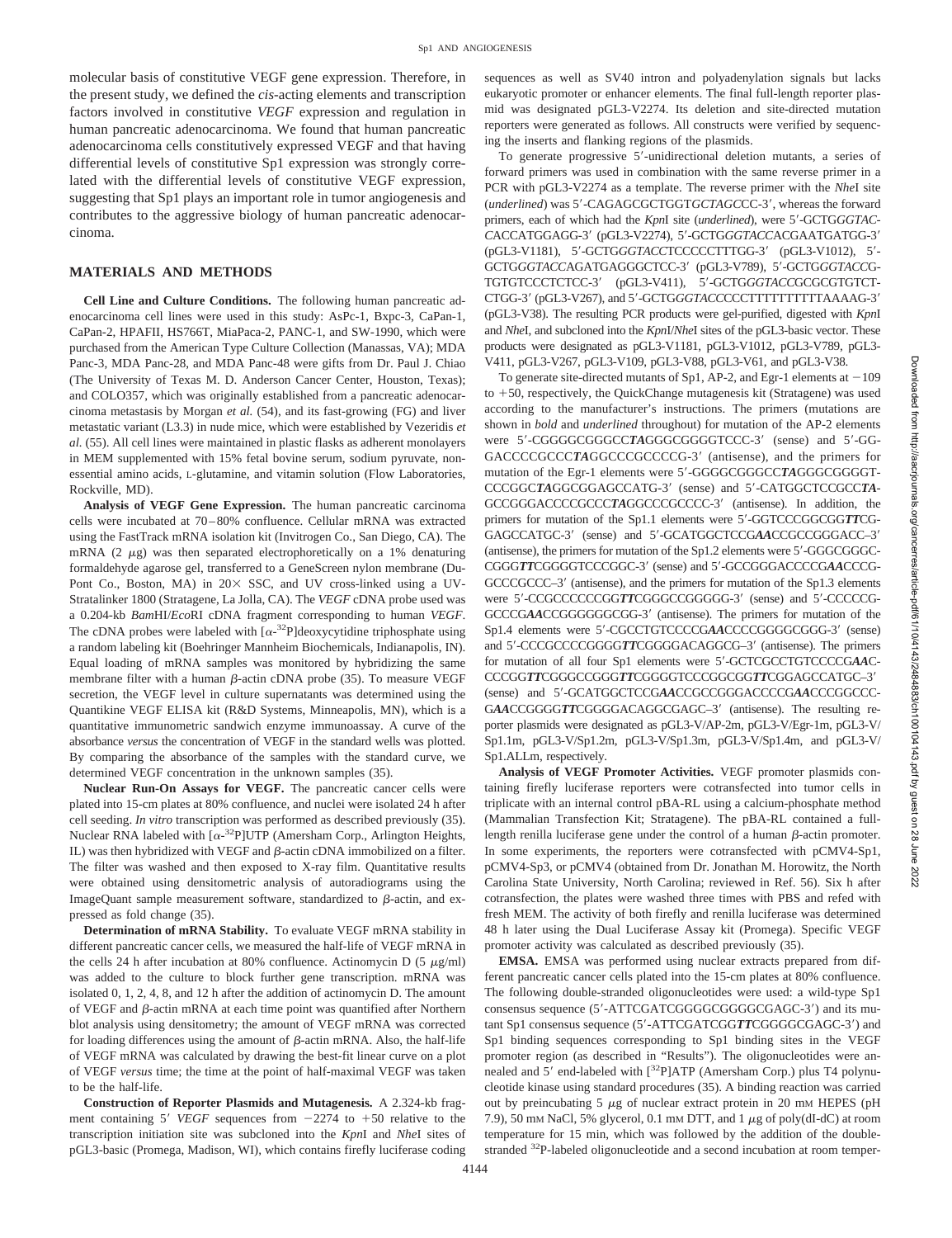molecular basis of constitutive VEGF gene expression. Therefore, in the present study, we defined the *cis*-acting elements and transcription factors involved in constitutive *VEGF* expression and regulation in human pancreatic adenocarcinoma. We found that human pancreatic adenocarcinoma cells constitutively expressed VEGF and that having differential levels of constitutive Sp1 expression was strongly correlated with the differential levels of constitutive VEGF expression, suggesting that Sp1 plays an important role in tumor angiogenesis and contributes to the aggressive biology of human pancreatic adenocarcinoma.

#### **MATERIALS AND METHODS**

**Cell Line and Culture Conditions.** The following human pancreatic adenocarcinoma cell lines were used in this study: AsPc-1, Bxpc-3, CaPan-1, CaPan-2, HPAFII, HS766T, MiaPaca-2, PANC-1, and SW-1990, which were purchased from the American Type Culture Collection (Manassas, VA); MDA Panc-3, MDA Panc-28, and MDA Panc-48 were gifts from Dr. Paul J. Chiao (The University of Texas M. D. Anderson Cancer Center, Houston, Texas); and COLO357, which was originally established from a pancreatic adenocarcinoma metastasis by Morgan *et al.* (54), and its fast-growing (FG) and liver metastatic variant (L3.3) in nude mice, which were established by Vezeridis *et al.* (55). All cell lines were maintained in plastic flasks as adherent monolayers in MEM supplemented with 15% fetal bovine serum, sodium pyruvate, nonessential amino acids, L-glutamine, and vitamin solution (Flow Laboratories, Rockville, MD).

**Analysis of VEGF Gene Expression.** The human pancreatic carcinoma cells were incubated at 70–80% confluence. Cellular mRNA was extracted using the FastTrack mRNA isolation kit (Invitrogen Co., San Diego, CA). The mRNA  $(2 \mu g)$  was then separated electrophoretically on a 1% denaturing formaldehyde agarose gel, transferred to a GeneScreen nylon membrane (Du-Pont Co., Boston, MA) in  $20 \times$  SSC, and UV cross-linked using a UV-Stratalinker 1800 (Stratagene, La Jolla, CA). The *VEGF* cDNA probe used was a 0.204-kb *Bam*HI/*Eco*RI cDNA fragment corresponding to human *VEGF*. The cDNA probes were labeled with  $[\alpha^{-32}P]$ deoxycytidine triphosphate using a random labeling kit (Boehringer Mannheim Biochemicals, Indianapolis, IN). Equal loading of mRNA samples was monitored by hybridizing the same membrane filter with a human  $\beta$ -actin cDNA probe (35). To measure VEGF secretion, the VEGF level in culture supernatants was determined using the Quantikine VEGF ELISA kit (R&D Systems, Minneapolis, MN), which is a quantitative immunometric sandwich enzyme immunoassay. A curve of the absorbance *versus* the concentration of VEGF in the standard wells was plotted. By comparing the absorbance of the samples with the standard curve, we determined VEGF concentration in the unknown samples (35).

**Nuclear Run-On Assays for VEGF.** The pancreatic cancer cells were plated into 15-cm plates at 80% confluence, and nuclei were isolated 24 h after cell seeding. *In vitro* transcription was performed as described previously (35). Nuclear RNA labeled with  $[\alpha^{-32}P]$ UTP (Amersham Corp., Arlington Heights, IL) was then hybridized with VEGF and  $\beta$ -actin cDNA immobilized on a filter. The filter was washed and then exposed to X-ray film. Quantitative results were obtained using densitometric analysis of autoradiograms using the ImageQuant sample measurement software, standardized to  $\beta$ -actin, and expressed as fold change (35).

**Determination of mRNA Stability.** To evaluate VEGF mRNA stability in different pancreatic cancer cells, we measured the half-life of VEGF mRNA in the cells 24 h after incubation at 80% confluence. Actinomycin D (5  $\mu$ g/ml) was added to the culture to block further gene transcription. mRNA was isolated 0, 1, 2, 4, 8, and 12 h after the addition of actinomycin D. The amount of VEGF and  $\beta$ -actin mRNA at each time point was quantified after Northern blot analysis using densitometry; the amount of VEGF mRNA was corrected for loading differences using the amount of  $\beta$ -actin mRNA. Also, the half-life of VEGF mRNA was calculated by drawing the best-fit linear curve on a plot of VEGF *versus* time; the time at the point of half-maximal VEGF was taken to be the half-life.

**Construction of Reporter Plasmids and Mutagenesis.** A 2.324-kb fragment containing 5' *VEGF* sequences from  $-2274$  to  $+50$  relative to the transcription initiation site was subcloned into the *Kpn*I and *Nhe*I sites of pGL3-basic (Promega, Madison, WI), which contains firefly luciferase coding sequences as well as SV40 intron and polyadenylation signals but lacks eukaryotic promoter or enhancer elements. The final full-length reporter plasmid was designated pGL3-V2274. Its deletion and site-directed mutation reporters were generated as follows. All constructs were verified by sequencing the inserts and flanking regions of the plasmids.

To generate progressive 5'-unidirectional deletion mutants, a series of forward primers was used in combination with the same reverse primer in a PCR with pGL3-V2274 as a template. The reverse primer with the *Nhe*I site (*underlined*) was 5'-CAGAGCGCTGGTGCTAGCCC-3', whereas the forward primers, each of which had the *KpnI* site (*underlined*), were 5'-GCTGGGTAC-CACCATGGAGG-3' (pGL3-V2274), 5'-GCTGGGTACCACGAATGATGG-3' (pGL3-V1181), 5'-GCTGGGTACCTCCCCCTTTGG-3' (pGL3-V1012), 5'-GCTGGGTACCAGATGAGGGCTCC-3' (pGL3-V789), 5'-GCTGGGTACCG-TGTGTCCCTCTCC-3' (pGL3-V411), 5'-GCTGGGTACCGCGCGTGTCT-CTGG-3' (pGL3-V267), and 5'-GCTGGGTACCCCCTTTTTTTTTTAAAAG-3' (pGL3-V38). The resulting PCR products were gel-purified, digested with *Kpn*I and *Nhe*I, and subcloned into the *Kpn*I/*Nhe*I sites of the pGL3-basic vector. These products were designated as pGL3-V1181, pGL3-V1012, pGL3-V789, pGL3- V411, pGL3-V267, pGL3-V109, pGL3-V88, pGL3-V61, and pGL3-V38.

To generate site-directed mutants of Sp1, AP-2, and Egr-1 elements at  $-109$ to  $+50$ , respectively, the QuickChange mutagenesis kit (Stratagene) was used according to the manufacturer's instructions. The primers (mutations are shown in *bold* and *underlined* throughout) for mutation of the AP-2 elements were 5'-CGGGGGGGGCCTAGGGCGGGGTCCC-3' (sense) and 5'-GG-GACCCCGCCCTAGGCCCGCCCG-3' (antisense), and the primers for mutation of the Egr-1 elements were 5'-GGGGCGGGCCTAGGGCGGGT-CCCGGCTAGGCGGAGCCATG-3' (sense) and 5'-CATGGCTCCGCCTA-GCCGGGACCCCGCCCTAGGCCCGCCCC-3' (antisense). In addition, the primers for mutation of the Sp1.1 elements were 5'-GGTCCCGGCGGTTCG-GAGCCATGC-3' (sense) and 5'-GCATGGCTCCGAACCGCCGGACC-3' (antisense), the primers for mutation of the Sp1.2 elements were 5'-GGGCGGGC-CGGGTTCGGGGTCCCGGC-3' (sense) and 5'-GCCGGGACCCCGAACCCG-GCCCGCCC–3' (antisense), and the primers for mutation of the Sp1.3 elements were 5'-CCGCCCCCCGGTTCGGGCCGGGGG-3' (sense) and 5'-CCCCCG-GCCCGAACCGGGGGGGGG-3<sup>'</sup> (antisense). The primers for mutation of the Sp1.4 elements were 5'-CGCCTGTCCCCGAACCCCGGGGGGGG-3' (sense) and 5'-CCCGCCCCGGGGTTCGGGACAGGCG-3' (antisense). The primers for mutation of all four Sp1 elements were 5'-GCTCGCCTGTCCCCGAAC-CCCGG*TT*CGGGCCGGG*TT*CGGGGTCCCGGCGG*TT*CGGAGCCATGC–39 (sense) and 5'-GCATGGCTCCGAACCGCCGGGACCCCGAACCCGGCCC-GAACCGGGGTTCGGGGACAGGCGAGC-3' (antisense). The resulting reporter plasmids were designated as pGL3-V/AP-2m, pGL3-V/Egr-1m, pGL3-V/ Sp1.1m, pGL3-V/Sp1.2m, pGL3-V/Sp1.3m, pGL3-V/Sp1.4m, and pGL3-V/ Sp1.ALLm, respectively.

**Analysis of VEGF Promoter Activities.** VEGF promoter plasmids containing firefly luciferase reporters were cotransfected into tumor cells in triplicate with an internal control pBA-RL using a calcium-phosphate method (Mammalian Transfection Kit; Stratagene). The pBA-RL contained a fulllength renilla luciferase gene under the control of a human  $\beta$ -actin promoter. In some experiments, the reporters were cotransfected with pCMV4-Sp1, pCMV4-Sp3, or pCMV4 (obtained from Dr. Jonathan M. Horowitz, the North Carolina State University, North Carolina; reviewed in Ref. 56). Six h after cotransfection, the plates were washed three times with PBS and refed with fresh MEM. The activity of both firefly and renilla luciferase was determined 48 h later using the Dual Luciferase Assay kit (Promega). Specific VEGF promoter activity was calculated as described previously (35).

**EMSA.** EMSA was performed using nuclear extracts prepared from different pancreatic cancer cells plated into the 15-cm plates at 80% confluence. The following double-stranded oligonucleotides were used: a wild-type Sp1 consensus sequence (5'-ATTCGATCGGGGGGGGGGGAGC-3') and its mutant Sp1 consensus sequence (5'-ATTCGATCGGTTCGGGGCGAGC-3') and Sp1 binding sequences corresponding to Sp1 binding sites in the VEGF promoter region (as described in "Results"). The oligonucleotides were annealed and 5' end-labeled with [32P]ATP (Amersham Corp.) plus T4 polynucleotide kinase using standard procedures (35). A binding reaction was carried out by preincubating 5  $\mu$ g of nuclear extract protein in 20 mm HEPES (pH 7.9), 50 mM NaCl, 5% glycerol, 0.1 mM DTT, and 1  $\mu$ g of poly(dI-dC) at room temperature for 15 min, which was followed by the addition of the doublestranded <sup>32</sup>P-labeled oligonucleotide and a second incubation at room temper-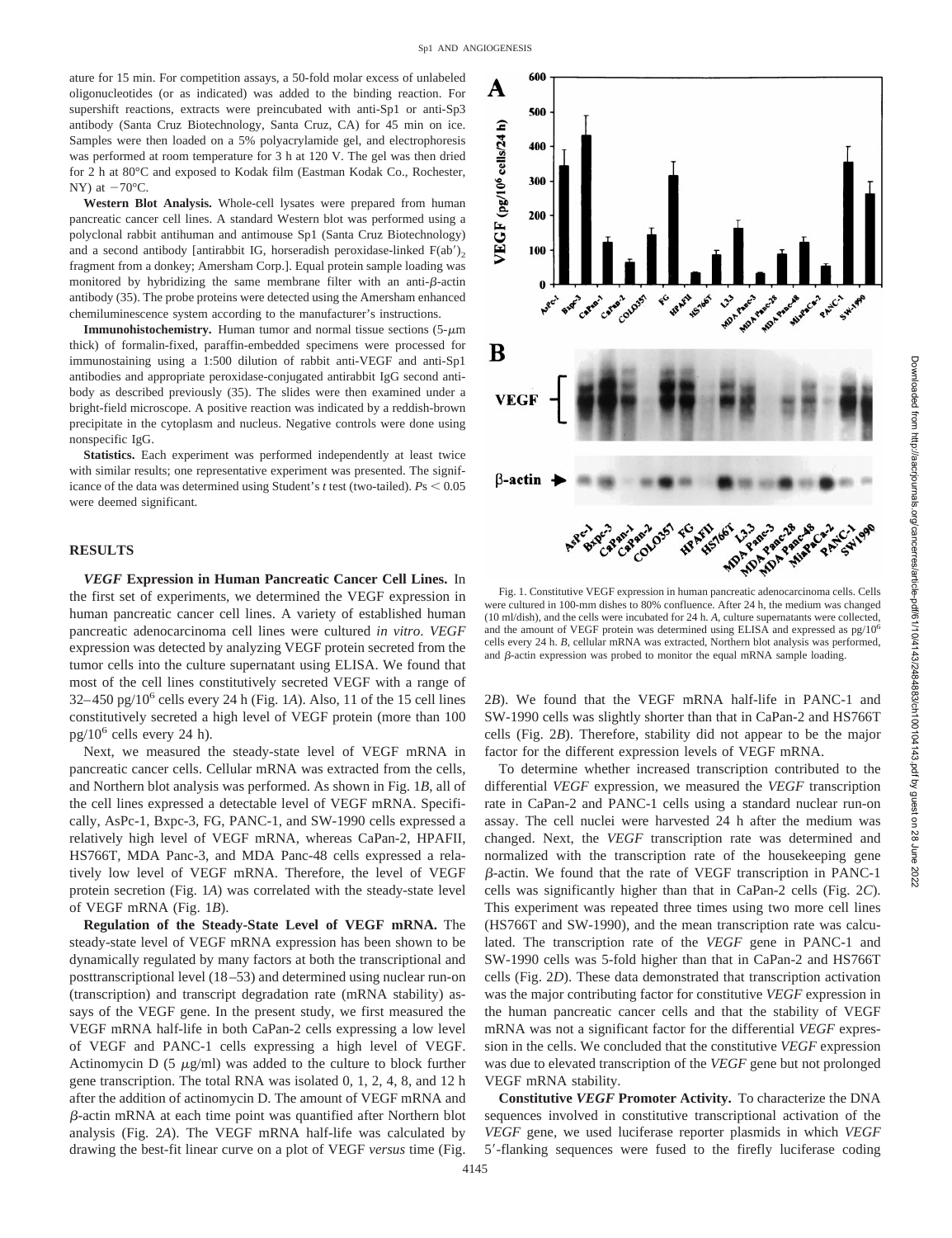ature for 15 min. For competition assays, a 50-fold molar excess of unlabeled oligonucleotides (or as indicated) was added to the binding reaction. For supershift reactions, extracts were preincubated with anti-Sp1 or anti-Sp3 antibody (Santa Cruz Biotechnology, Santa Cruz, CA) for 45 min on ice. Samples were then loaded on a 5% polyacrylamide gel, and electrophoresis was performed at room temperature for 3 h at 120 V. The gel was then dried for 2 h at 80°C and exposed to Kodak film (Eastman Kodak Co., Rochester, NY) at  $-70^{\circ}$ C.

**Western Blot Analysis.** Whole-cell lysates were prepared from human pancreatic cancer cell lines. A standard Western blot was performed using a polyclonal rabbit antihuman and antimouse Sp1 (Santa Cruz Biotechnology) and a second antibody [antirabbit IG, horseradish peroxidase-linked  $F(ab')_2$ fragment from a donkey; Amersham Corp.]. Equal protein sample loading was monitored by hybridizing the same membrane filter with an anti- $\beta$ -actin antibody (35). The probe proteins were detected using the Amersham enhanced chemiluminescence system according to the manufacturer's instructions.

**Immunohistochemistry.** Human tumor and normal tissue sections  $(5-\mu m)$ thick) of formalin-fixed, paraffin-embedded specimens were processed for immunostaining using a 1:500 dilution of rabbit anti-VEGF and anti-Sp1 antibodies and appropriate peroxidase-conjugated antirabbit IgG second antibody as described previously (35). The slides were then examined under a bright-field microscope. A positive reaction was indicated by a reddish-brown precipitate in the cytoplasm and nucleus. Negative controls were done using nonspecific IgG.

**Statistics.** Each experiment was performed independently at least twice with similar results; one representative experiment was presented. The significance of the data was determined using Student's  $t$  test (two-tailed).  $Ps < 0.05$ were deemed significant.

## **RESULTS**

*VEGF* **Expression in Human Pancreatic Cancer Cell Lines.** In the first set of experiments, we determined the VEGF expression in human pancreatic cancer cell lines. A variety of established human pancreatic adenocarcinoma cell lines were cultured *in vitro*. *VEGF* expression was detected by analyzing VEGF protein secreted from the tumor cells into the culture supernatant using ELISA. We found that most of the cell lines constitutively secreted VEGF with a range of  $32-450$  pg/ $10<sup>6</sup>$  cells every 24 h (Fig. 1*A*). Also, 11 of the 15 cell lines constitutively secreted a high level of VEGF protein (more than 100  $pg/10^6$  cells every 24 h).

Next, we measured the steady-state level of VEGF mRNA in pancreatic cancer cells. Cellular mRNA was extracted from the cells, and Northern blot analysis was performed. As shown in Fig. 1*B*, all of the cell lines expressed a detectable level of VEGF mRNA. Specifically, AsPc-1, Bxpc-3, FG, PANC-1, and SW-1990 cells expressed a relatively high level of VEGF mRNA, whereas CaPan-2, HPAFII, HS766T, MDA Panc-3, and MDA Panc-48 cells expressed a relatively low level of VEGF mRNA. Therefore, the level of VEGF protein secretion (Fig. 1*A*) was correlated with the steady-state level of VEGF mRNA (Fig. 1*B*).

**Regulation of the Steady-State Level of VEGF mRNA.** The steady-state level of VEGF mRNA expression has been shown to be dynamically regulated by many factors at both the transcriptional and posttranscriptional level (18–53) and determined using nuclear run-on (transcription) and transcript degradation rate (mRNA stability) assays of the VEGF gene. In the present study, we first measured the VEGF mRNA half-life in both CaPan-2 cells expressing a low level of VEGF and PANC-1 cells expressing a high level of VEGF. Actinomycin D  $(5 \mu g/ml)$  was added to the culture to block further gene transcription. The total RNA was isolated 0, 1, 2, 4, 8, and 12 h after the addition of actinomycin D. The amount of VEGF mRNA and b-actin mRNA at each time point was quantified after Northern blot analysis (Fig. 2*A*). The VEGF mRNA half-life was calculated by drawing the best-fit linear curve on a plot of VEGF *versus* time (Fig.



Fig. 1. Constitutive VEGF expression in human pancreatic adenocarcinoma cells. Cells were cultured in 100-mm dishes to 80% confluence. After 24 h, the medium was changed (10 ml/dish), and the cells were incubated for 24 h. *A*, culture supernatants were collected, and the amount of VEGF protein was determined using ELISA and expressed as pg/106 cells every 24 h. *B*, cellular mRNA was extracted, Northern blot analysis was performed, and  $\beta$ -actin expression was probed to monitor the equal mRNA sample loading.

2*B*). We found that the VEGF mRNA half-life in PANC-1 and SW-1990 cells was slightly shorter than that in CaPan-2 and HS766T cells (Fig. 2*B*). Therefore, stability did not appear to be the major factor for the different expression levels of VEGF mRNA.

To determine whether increased transcription contributed to the differential *VEGF* expression, we measured the *VEGF* transcription rate in CaPan-2 and PANC-1 cells using a standard nuclear run-on assay. The cell nuclei were harvested 24 h after the medium was changed. Next, the *VEGF* transcription rate was determined and normalized with the transcription rate of the housekeeping gene b-actin. We found that the rate of VEGF transcription in PANC-1 cells was significantly higher than that in CaPan-2 cells (Fig. 2*C*). This experiment was repeated three times using two more cell lines (HS766T and SW-1990), and the mean transcription rate was calculated. The transcription rate of the *VEGF* gene in PANC-1 and SW-1990 cells was 5-fold higher than that in CaPan-2 and HS766T cells (Fig. 2*D*). These data demonstrated that transcription activation was the major contributing factor for constitutive *VEGF* expression in the human pancreatic cancer cells and that the stability of VEGF mRNA was not a significant factor for the differential *VEGF* expression in the cells. We concluded that the constitutive *VEGF* expression was due to elevated transcription of the *VEGF* gene but not prolonged VEGF mRNA stability.

**Constitutive** *VEGF* **Promoter Activity.** To characterize the DNA sequences involved in constitutive transcriptional activation of the *VEGF* gene, we used luciferase reporter plasmids in which *VEGF* 5'-flanking sequences were fused to the firefly luciferase coding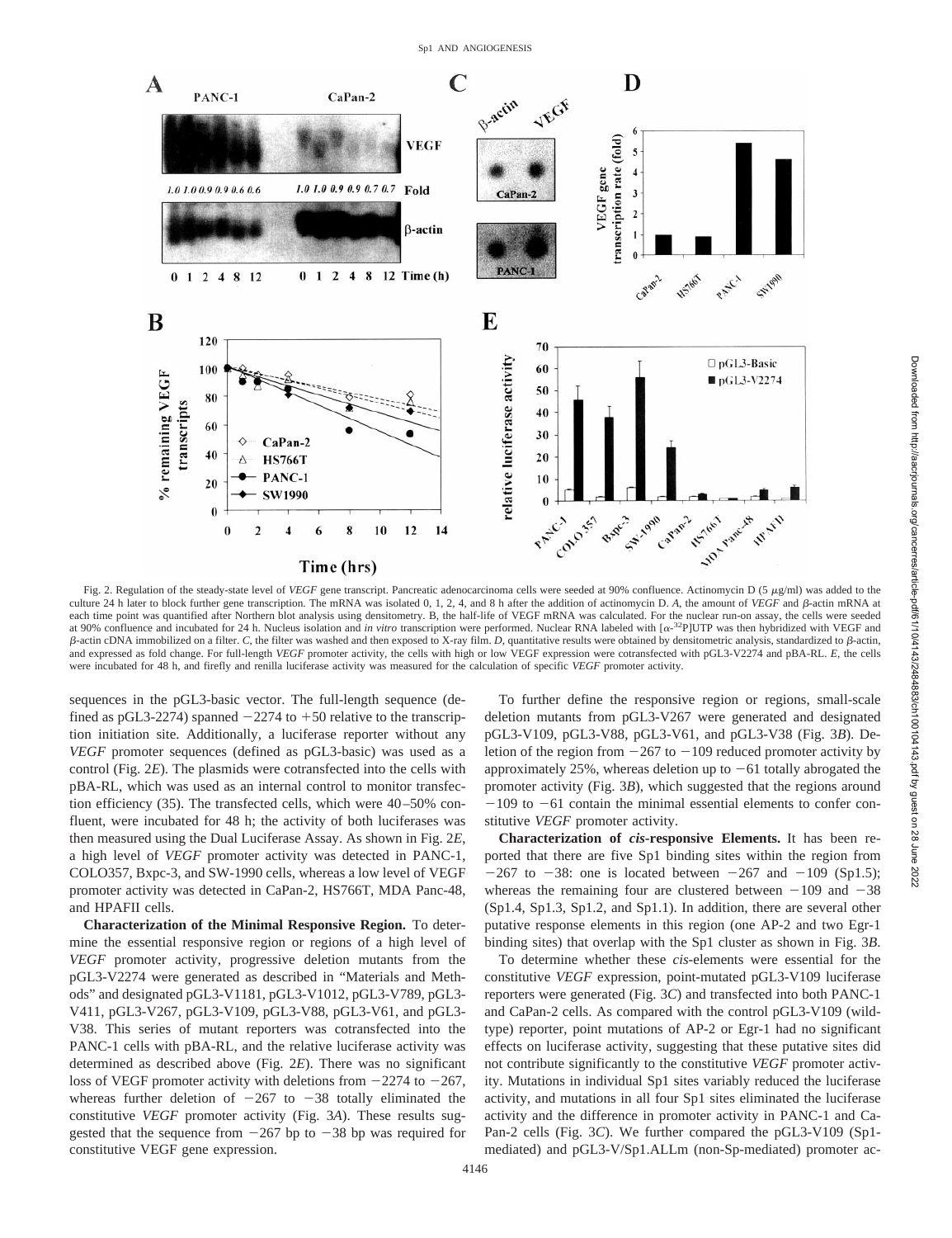

Fig. 2. Regulation of the steady-state level of *VEGF* gene transcript. Pancreatic adenocarcinoma cells were seeded at 90% confluence. Actinomycin D (5  $\mu$ g/ml) was added to the culture 24 h later to block further gene transcription. The mRNA was isolated 0, 1, 2, 4, and 8 h after the addition of actinomycin D. *A*, the amount of *VEGF* and  $\beta$ -actin mRNA at each time point was quantified after Northern blot analysis using densitometry. B, the half-life of VEGF mRNA was calculated. For the nuclear run-on assay, the cells were seeded at 90% confluence and incubated for 24 h. Nucleus isolation and *in vitro* transcription were performed. Nuclear RNA labeled with [ $\alpha$ -<sup>32</sup>P]UTP was then hybridized with VEGF and b-actin cDNA immobilized on a filter. *C*, the filter was washed and then exposed to X-ray film. *D*, quantitative results were obtained by densitometric analysis, standardized to b-actin, and expressed as fold change. For full-length *VEGF* promoter activity, the cells with high or low VEGF expression were cotransfected with pGL3-V2274 and pBA-RL. *E*, the cells were incubated for 48 h, and firefly and renilla luciferase activity was measured for the calculation of specific *VEGF* promoter activity.

sequences in the pGL3-basic vector. The full-length sequence (defined as pGL3-2274) spanned  $-2274$  to  $+50$  relative to the transcription initiation site. Additionally, a luciferase reporter without any *VEGF* promoter sequences (defined as pGL3-basic) was used as a control (Fig. 2*E*). The plasmids were cotransfected into the cells with pBA-RL, which was used as an internal control to monitor transfection efficiency (35). The transfected cells, which were 40–50% confluent, were incubated for 48 h; the activity of both luciferases was then measured using the Dual Luciferase Assay. As shown in Fig. 2*E*, a high level of *VEGF* promoter activity was detected in PANC-1, COLO357, Bxpc-3, and SW-1990 cells, whereas a low level of VEGF promoter activity was detected in CaPan-2, HS766T, MDA Panc-48, and HPAFII cells.

**Characterization of the Minimal Responsive Region.** To determine the essential responsive region or regions of a high level of *VEGF* promoter activity, progressive deletion mutants from the pGL3-V2274 were generated as described in "Materials and Methods" and designated pGL3-V1181, pGL3-V1012, pGL3-V789, pGL3- V411, pGL3-V267, pGL3-V109, pGL3-V88, pGL3-V61, and pGL3- V38. This series of mutant reporters was cotransfected into the PANC-1 cells with pBA-RL, and the relative luciferase activity was determined as described above (Fig. 2*E*). There was no significant loss of VEGF promoter activity with deletions from  $-2274$  to  $-267$ , whereas further deletion of  $-267$  to  $-38$  totally eliminated the constitutive *VEGF* promoter activity (Fig. 3*A*). These results suggested that the sequence from  $-267$  bp to  $-38$  bp was required for constitutive VEGF gene expression.

To further define the responsive region or regions, small-scale deletion mutants from pGL3-V267 were generated and designated pGL3-V109, pGL3-V88, pGL3-V61, and pGL3-V38 (Fig. 3*B*). Deletion of the region from  $-267$  to  $-109$  reduced promoter activity by approximately 25%, whereas deletion up to  $-61$  totally abrogated the promoter activity (Fig. 3*B*), which suggested that the regions around  $-109$  to  $-61$  contain the minimal essential elements to confer constitutive *VEGF* promoter activity.

**Characterization of** *cis***-responsive Elements.** It has been reported that there are five Sp1 binding sites within the region from  $-267$  to  $-38$ : one is located between  $-267$  and  $-109$  (Sp1.5); whereas the remaining four are clustered between  $-109$  and  $-38$ (Sp1.4, Sp1.3, Sp1.2, and Sp1.1). In addition, there are several other putative response elements in this region (one AP-2 and two Egr-1 binding sites) that overlap with the Sp1 cluster as shown in Fig. 3*B*.

To determine whether these *cis*-elements were essential for the constitutive *VEGF* expression, point-mutated pGL3-V109 luciferase reporters were generated (Fig. 3*C*) and transfected into both PANC-1 and CaPan-2 cells. As compared with the control pGL3-V109 (wildtype) reporter, point mutations of AP-2 or Egr-1 had no significant effects on luciferase activity, suggesting that these putative sites did not contribute significantly to the constitutive *VEGF* promoter activity. Mutations in individual Sp1 sites variably reduced the luciferase activity, and mutations in all four Sp1 sites eliminated the luciferase activity and the difference in promoter activity in PANC-1 and Ca-Pan-2 cells (Fig. 3*C*). We further compared the pGL3-V109 (Sp1 mediated) and pGL3-V/Sp1.ALLm (non-Sp-mediated) promoter ac-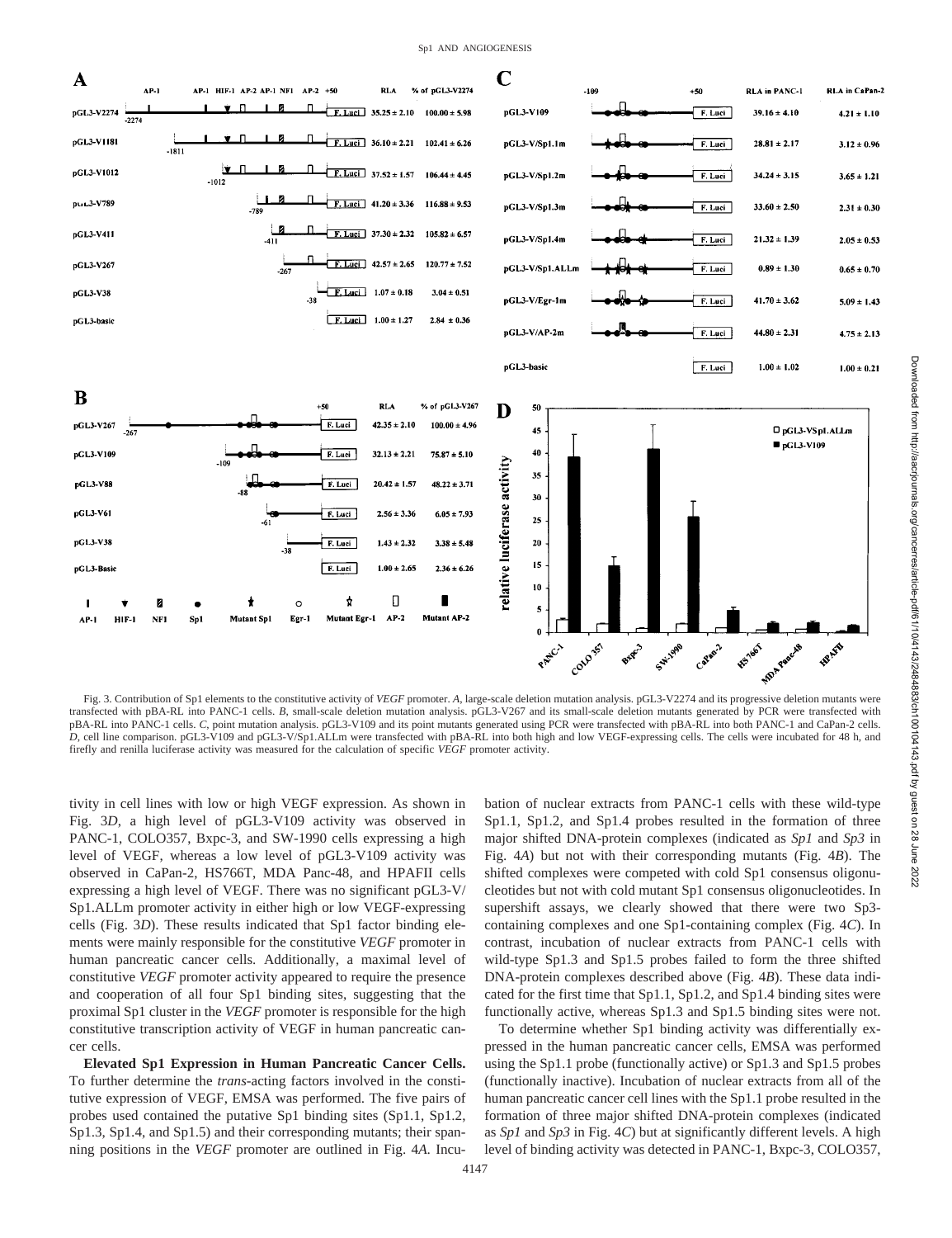

Fig. 3. Contribution of Sp1 elements to the constitutive activity of *VEGF* promoter. *A*, large-scale deletion mutation analysis. pGL3-V2274 and its progressive deletion mutants were transfected with pBA-RL into PANC-1 cells. *B*, small-scale deletion mutation analysis. pGL3-V267 and its small-scale deletion mutants generated by PCR were transfected with pBA-RL into PANC-1 cells. *C*, point mutation analysis. pGL3-V109 and its point mutants generated using PCR were transfected with pBA-RL into both PANC-1 and CaPan-2 cells. *D*, cell line comparison. pGL3-V109 and pGL3-V/Sp1.ALLm were transfected with pBA-RL into both high and low VEGF-expressing cells. The cells were incubated for 48 h, and firefly and renilla luciferase activity was measured for the calculation of specific *VEGF* promoter activity.

tivity in cell lines with low or high VEGF expression. As shown in Fig. 3*D*, a high level of pGL3-V109 activity was observed in PANC-1, COLO357, Bxpc-3, and SW-1990 cells expressing a high level of VEGF, whereas a low level of pGL3-V109 activity was observed in CaPan-2, HS766T, MDA Panc-48, and HPAFII cells expressing a high level of VEGF. There was no significant pGL3-V/ Sp1.ALLm promoter activity in either high or low VEGF-expressing cells (Fig. 3*D*). These results indicated that Sp1 factor binding elements were mainly responsible for the constitutive *VEGF* promoter in human pancreatic cancer cells. Additionally, a maximal level of constitutive *VEGF* promoter activity appeared to require the presence and cooperation of all four Sp1 binding sites, suggesting that the proximal Sp1 cluster in the *VEGF* promoter is responsible for the high constitutive transcription activity of VEGF in human pancreatic cancer cells.

**Elevated Sp1 Expression in Human Pancreatic Cancer Cells.** To further determine the *trans*-acting factors involved in the constitutive expression of VEGF, EMSA was performed. The five pairs of probes used contained the putative Sp1 binding sites (Sp1.1, Sp1.2, Sp1.3, Sp1.4, and Sp1.5) and their corresponding mutants; their spanning positions in the *VEGF* promoter are outlined in Fig. 4*A*. Incubation of nuclear extracts from PANC-1 cells with these wild-type Sp1.1, Sp1.2, and Sp1.4 probes resulted in the formation of three major shifted DNA-protein complexes (indicated as *Sp1* and *Sp3* in Fig. 4*A*) but not with their corresponding mutants (Fig. 4*B*). The shifted complexes were competed with cold Sp1 consensus oligonucleotides but not with cold mutant Sp1 consensus oligonucleotides. In supershift assays, we clearly showed that there were two Sp3 containing complexes and one Sp1-containing complex (Fig. 4*C*). In contrast, incubation of nuclear extracts from PANC-1 cells with wild-type Sp1.3 and Sp1.5 probes failed to form the three shifted DNA-protein complexes described above (Fig. 4*B*). These data indicated for the first time that Sp1.1, Sp1.2, and Sp1.4 binding sites were functionally active, whereas Sp1.3 and Sp1.5 binding sites were not.

To determine whether Sp1 binding activity was differentially expressed in the human pancreatic cancer cells, EMSA was performed using the Sp1.1 probe (functionally active) or Sp1.3 and Sp1.5 probes (functionally inactive). Incubation of nuclear extracts from all of the human pancreatic cancer cell lines with the Sp1.1 probe resulted in the formation of three major shifted DNA-protein complexes (indicated as *Sp1* and *Sp3* in Fig. 4*C*) but at significantly different levels. A high level of binding activity was detected in PANC-1, Bxpc-3, COLO357,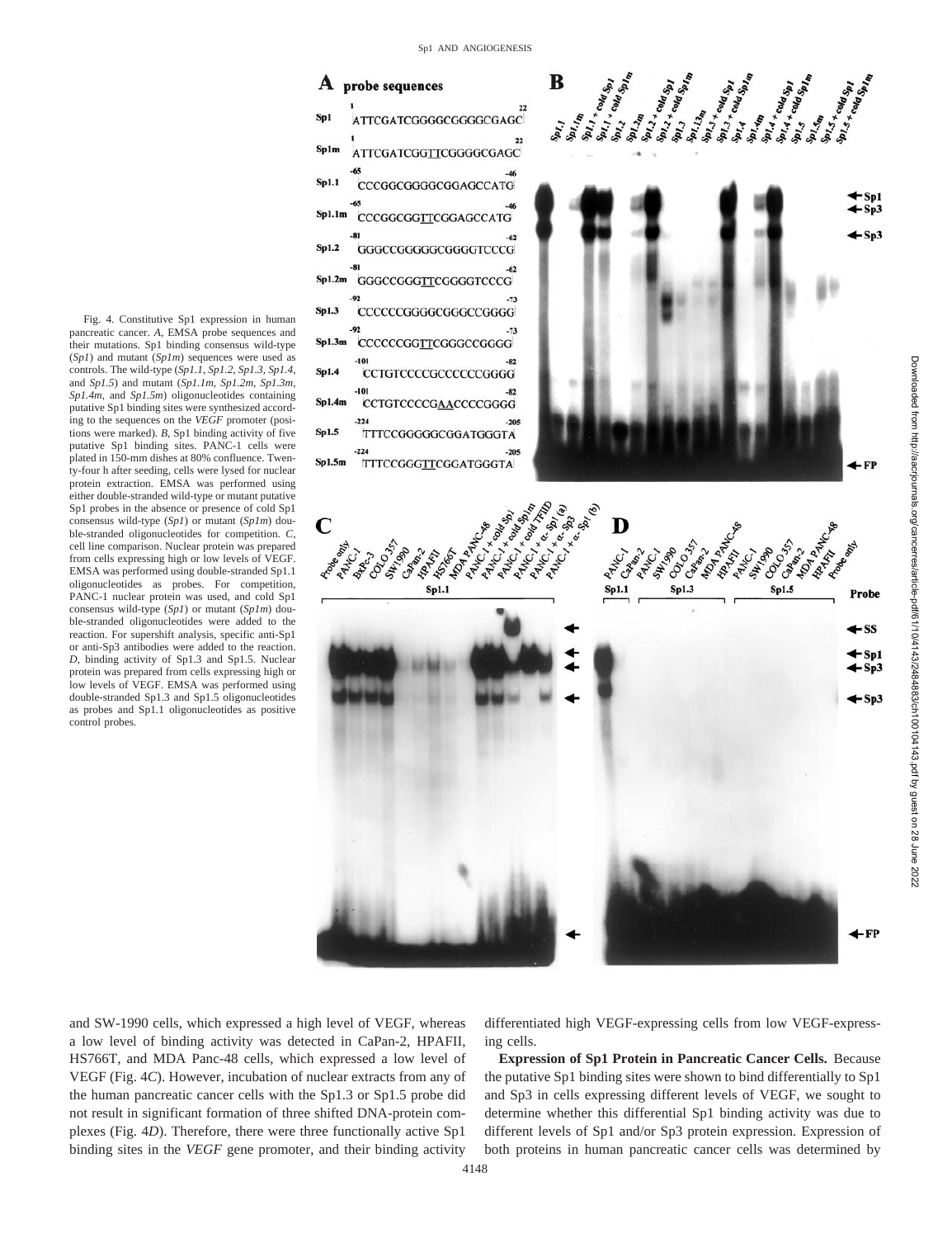

Fig. 4. Constitutive Sp1 expression in human pancreatic cancer. *A*, EMSA probe sequences and their mutations. Sp1 binding consensus wild-type (*Sp1*) and mutant (*Sp1m*) sequences were used as controls. The wild-type (*Sp1.1*, *Sp1.2*, *Sp1.3*, *Sp1.4*, and *Sp1.5*) and mutant (*Sp1.1m*, *Sp1.2m*, *Sp1.3m*, *Sp1.4m*, and *Sp1.5m*) oligonucleotides containing putative Sp1 binding sites were synthesized according to the sequences on the *VEGF* promoter (positions were marked). *B*, Sp1 binding activity of five putative Sp1 binding sites. PANC-1 cells were plated in 150-mm dishes at 80% confluence. Twenty-four h after seeding, cells were lysed for nuclear protein extraction. EMSA was performed using either double-stranded wild-type or mutant putative Sp1 probes in the absence or presence of cold Sp1 consensus wild-type (*Sp1*) or mutant (*Sp1m*) double-stranded oligonucleotides for competition. *C*, cell line comparison. Nuclear protein was prepared from cells expressing high or low levels of VEGF. EMSA was performed using double-stranded Sp1.1 oligonucleotides as probes. For competition, PANC-1 nuclear protein was used, and cold Sp1 consensus wild-type (*Sp1*) or mutant (*Sp1m*) double-stranded oligonucleotides were added to the reaction. For supershift analysis, specific anti-Sp1 or anti-Sp3 antibodies were added to the reaction. *D*, binding activity of Sp1.3 and Sp1.5. Nuclear protein was prepared from cells expressing high or low levels of VEGF. EMSA was performed using double-stranded Sp1.3 and Sp1.5 oligonucleotides as probes and Sp1.1 oligonucleotides as positive control probes.

and SW-1990 cells, which expressed a high level of VEGF, whereas a low level of binding activity was detected in CaPan-2, HPAFII, HS766T, and MDA Panc-48 cells, which expressed a low level of VEGF (Fig. 4*C*). However, incubation of nuclear extracts from any of the human pancreatic cancer cells with the Sp1.3 or Sp1.5 probe did not result in significant formation of three shifted DNA-protein complexes (Fig. 4*D*). Therefore, there were three functionally active Sp1 binding sites in the *VEGF* gene promoter, and their binding activity

differentiated high VEGF-expressing cells from low VEGF-expressing cells.

Downloaded from http://aacrjournals.org/cancerres/article-pdf/61/10/4143/2484883/ch100104143.pdf by guest on 28 June 2022

2022

Downloaded from http://aacrjournals.org/cancerres/article-pdf/61/10/4143/24883/ch100104143.pdf by guest on 28 June

**Expression of Sp1 Protein in Pancreatic Cancer Cells.** Because the putative Sp1 binding sites were shown to bind differentially to Sp1 and Sp3 in cells expressing different levels of VEGF, we sought to determine whether this differential Sp1 binding activity was due to different levels of Sp1 and/or Sp3 protein expression. Expression of both proteins in human pancreatic cancer cells was determined by

4148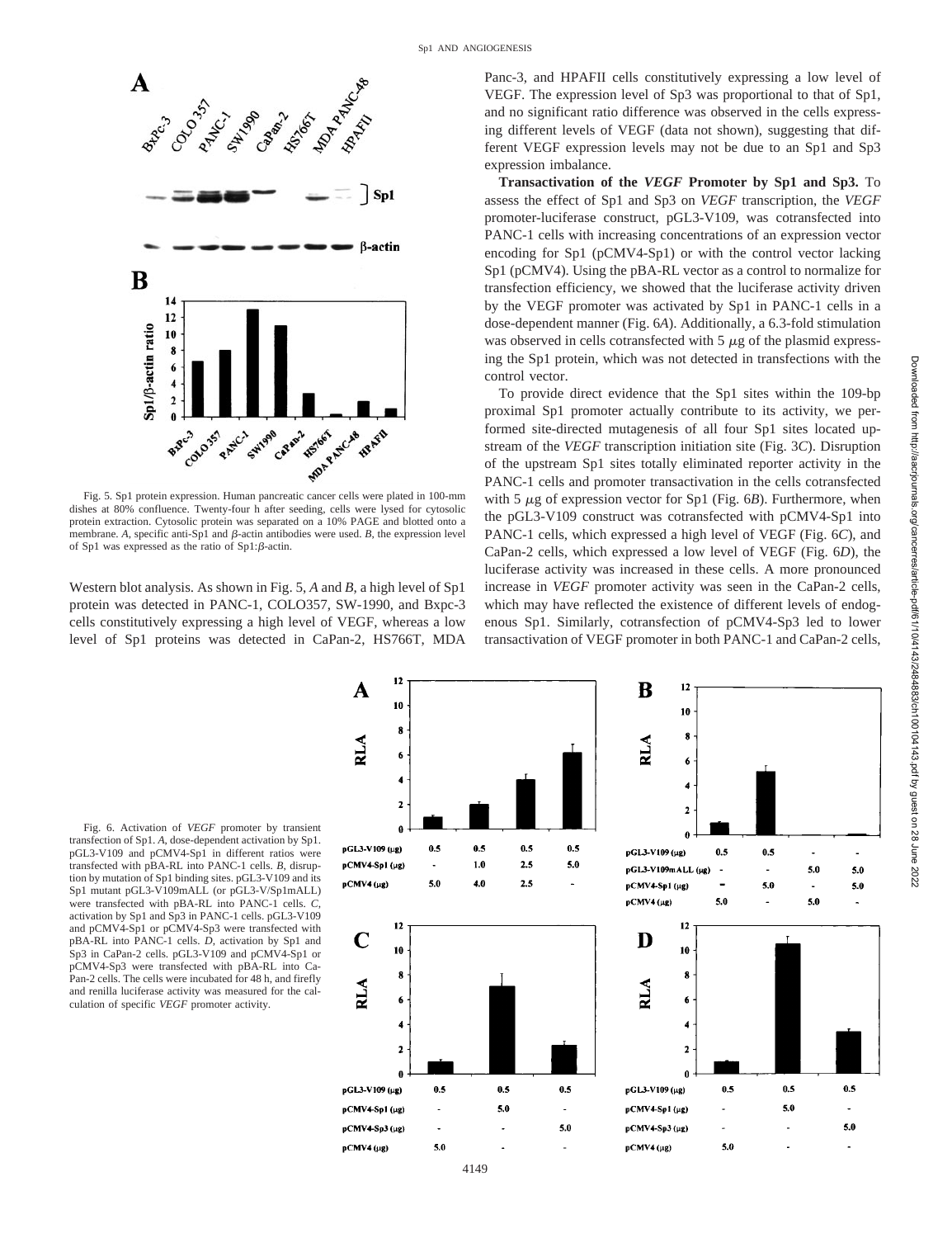

Fig. 5. Sp1 protein expression. Human pancreatic cancer cells were plated in 100-mm dishes at 80% confluence. Twenty-four h after seeding, cells were lysed for cytosolic protein extraction. Cytosolic protein was separated on a 10% PAGE and blotted onto a membrane.  $A$ , specific anti-Sp1 and  $\beta$ -actin antibodies were used.  $B$ , the expression level of Sp1 was expressed as the ratio of  $Sp1:\beta$ -actin.

Western blot analysis. As shown in Fig. 5, *A* and *B*, a high level of Sp1 protein was detected in PANC-1, COLO357, SW-1990, and Bxpc-3 cells constitutively expressing a high level of VEGF, whereas a low level of Sp1 proteins was detected in CaPan-2, HS766T, MDA Panc-3, and HPAFII cells constitutively expressing a low level of VEGF. The expression level of Sp3 was proportional to that of Sp1, and no significant ratio difference was observed in the cells expressing different levels of VEGF (data not shown), suggesting that different VEGF expression levels may not be due to an Sp1 and Sp3 expression imbalance.

**Transactivation of the** *VEGF* **Promoter by Sp1 and Sp3.** To assess the effect of Sp1 and Sp3 on *VEGF* transcription, the *VEGF* promoter-luciferase construct, pGL3-V109, was cotransfected into PANC-1 cells with increasing concentrations of an expression vector encoding for Sp1 (pCMV4-Sp1) or with the control vector lacking Sp1 (pCMV4). Using the pBA-RL vector as a control to normalize for transfection efficiency, we showed that the luciferase activity driven by the VEGF promoter was activated by Sp1 in PANC-1 cells in a dose-dependent manner (Fig. 6*A*). Additionally, a 6.3-fold stimulation was observed in cells cotransfected with  $5 \mu g$  of the plasmid expressing the Sp1 protein, which was not detected in transfections with the control vector.

To provide direct evidence that the Sp1 sites within the 109-bp proximal Sp1 promoter actually contribute to its activity, we performed site-directed mutagenesis of all four Sp1 sites located upstream of the *VEGF* transcription initiation site (Fig. 3*C*). Disruption of the upstream Sp1 sites totally eliminated reporter activity in the PANC-1 cells and promoter transactivation in the cells cotransfected with 5  $\mu$ g of expression vector for Sp1 (Fig. 6*B*). Furthermore, when the pGL3-V109 construct was cotransfected with pCMV4-Sp1 into PANC-1 cells, which expressed a high level of VEGF (Fig. 6*C*), and CaPan-2 cells, which expressed a low level of VEGF (Fig. 6*D*), the luciferase activity was increased in these cells. A more pronounced increase in *VEGF* promoter activity was seen in the CaPan-2 cells, which may have reflected the existence of different levels of endogenous Sp1. Similarly, cotransfection of pCMV4-Sp3 led to lower transactivation of VEGF promoter in both PANC-1 and CaPan-2 cells,

Fig. 6. Activation of *VEGF* promoter by transient transfection of Sp1. *A*, dose-dependent activation by Sp1. pGL3-V109 and pCMV4-Sp1 in different ratios were transfected with pBA-RL into PANC-1 cells. *B*, disruption by mutation of Sp1 binding sites. pGL3-V109 and its Sp1 mutant pGL3-V109mALL (or pGL3-V/Sp1mALL) were transfected with pBA-RL into PANC-1 cells. *C*, activation by Sp1 and Sp3 in PANC-1 cells. pGL3-V109 and pCMV4-Sp1 or pCMV4-Sp3 were transfected with pBA-RL into PANC-1 cells. *D*, activation by Sp1 and Sp3 in CaPan-2 cells. pGL3-V109 and pCMV4-Sp1 or pCMV4-Sp3 were transfected with pBA-RL into Ca-Pan-2 cells. The cells were incubated for 48 h, and firefly and renilla luciferase activity was measured for the calculation of specific *VEGF* promoter activity.



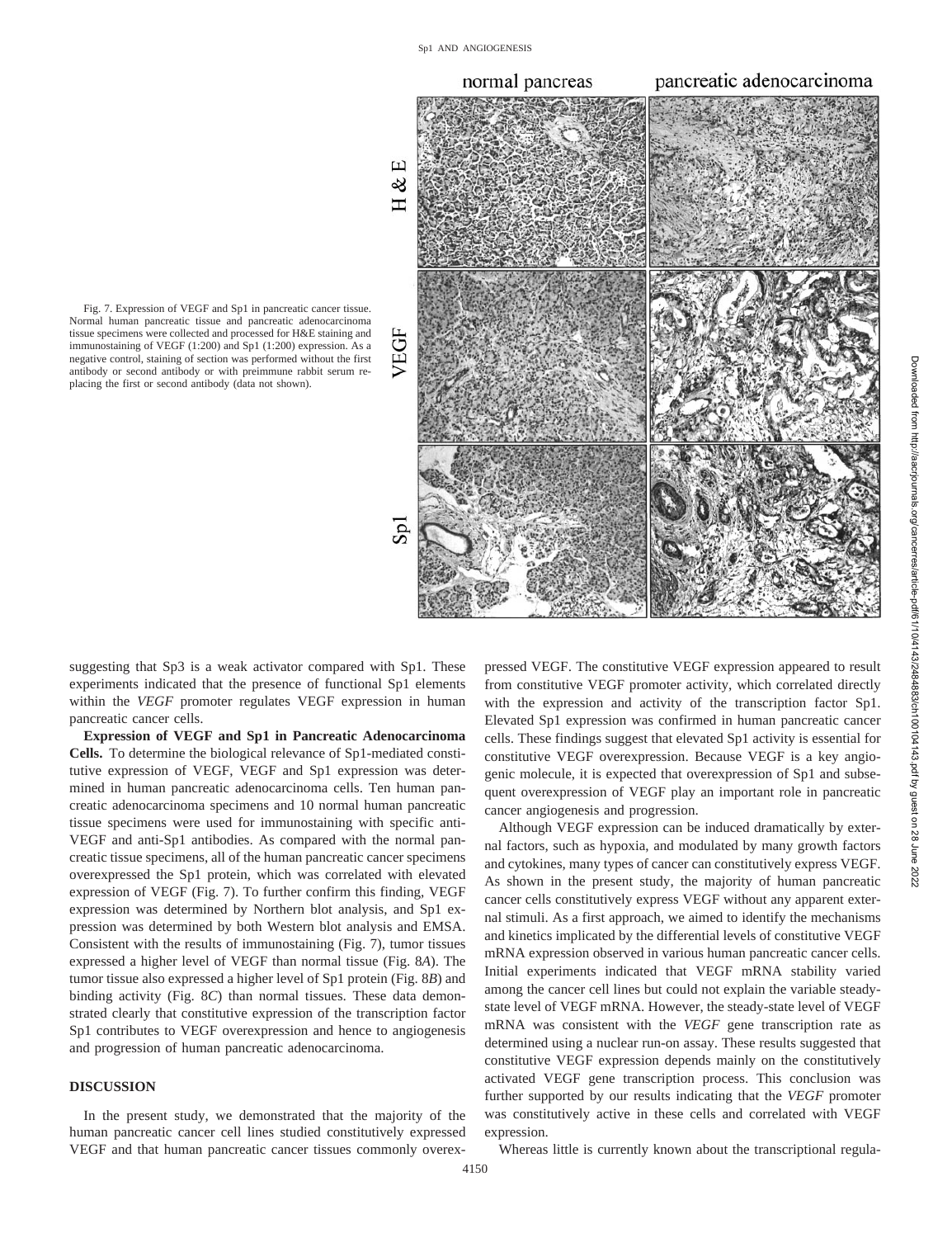

Fig. 7. Expression of VEGF and Sp1 in pancreatic cancer tissue. Normal human pancreatic tissue and pancreatic adenocarcinoma tissue specimens were collected and processed for H&E staining and immunostaining of VEGF (1:200) and Sp1 (1:200) expression. As a negative control, staining of section was performed without the first antibody or second antibody or with preimmune rabbit serum replacing the first or second antibody (data not shown).

suggesting that Sp3 is a weak activator compared with Sp1. These experiments indicated that the presence of functional Sp1 elements within the *VEGF* promoter regulates VEGF expression in human pancreatic cancer cells.

**Expression of VEGF and Sp1 in Pancreatic Adenocarcinoma Cells.** To determine the biological relevance of Sp1-mediated constitutive expression of VEGF, VEGF and Sp1 expression was determined in human pancreatic adenocarcinoma cells. Ten human pancreatic adenocarcinoma specimens and 10 normal human pancreatic tissue specimens were used for immunostaining with specific anti-VEGF and anti-Sp1 antibodies. As compared with the normal pancreatic tissue specimens, all of the human pancreatic cancer specimens overexpressed the Sp1 protein, which was correlated with elevated expression of VEGF (Fig. 7). To further confirm this finding, VEGF expression was determined by Northern blot analysis, and Sp1 expression was determined by both Western blot analysis and EMSA. Consistent with the results of immunostaining (Fig. 7), tumor tissues expressed a higher level of VEGF than normal tissue (Fig. 8*A*). The tumor tissue also expressed a higher level of Sp1 protein (Fig. 8*B*) and binding activity (Fig. 8*C*) than normal tissues. These data demonstrated clearly that constitutive expression of the transcription factor Sp1 contributes to VEGF overexpression and hence to angiogenesis and progression of human pancreatic adenocarcinoma.

## **DISCUSSION**

In the present study, we demonstrated that the majority of the human pancreatic cancer cell lines studied constitutively expressed VEGF and that human pancreatic cancer tissues commonly overexpressed VEGF. The constitutive VEGF expression appeared to result from constitutive VEGF promoter activity, which correlated directly with the expression and activity of the transcription factor Sp1. Elevated Sp1 expression was confirmed in human pancreatic cancer cells. These findings suggest that elevated Sp1 activity is essential for constitutive VEGF overexpression. Because VEGF is a key angiogenic molecule, it is expected that overexpression of Sp1 and subsequent overexpression of VEGF play an important role in pancreatic cancer angiogenesis and progression.

Although VEGF expression can be induced dramatically by external factors, such as hypoxia, and modulated by many growth factors and cytokines, many types of cancer can constitutively express VEGF. As shown in the present study, the majority of human pancreatic cancer cells constitutively express VEGF without any apparent external stimuli. As a first approach, we aimed to identify the mechanisms and kinetics implicated by the differential levels of constitutive VEGF mRNA expression observed in various human pancreatic cancer cells. Initial experiments indicated that VEGF mRNA stability varied among the cancer cell lines but could not explain the variable steadystate level of VEGF mRNA. However, the steady-state level of VEGF mRNA was consistent with the *VEGF* gene transcription rate as determined using a nuclear run-on assay. These results suggested that constitutive VEGF expression depends mainly on the constitutively activated VEGF gene transcription process. This conclusion was further supported by our results indicating that the *VEGF* promoter was constitutively active in these cells and correlated with VEGF expression.

Whereas little is currently known about the transcriptional regula-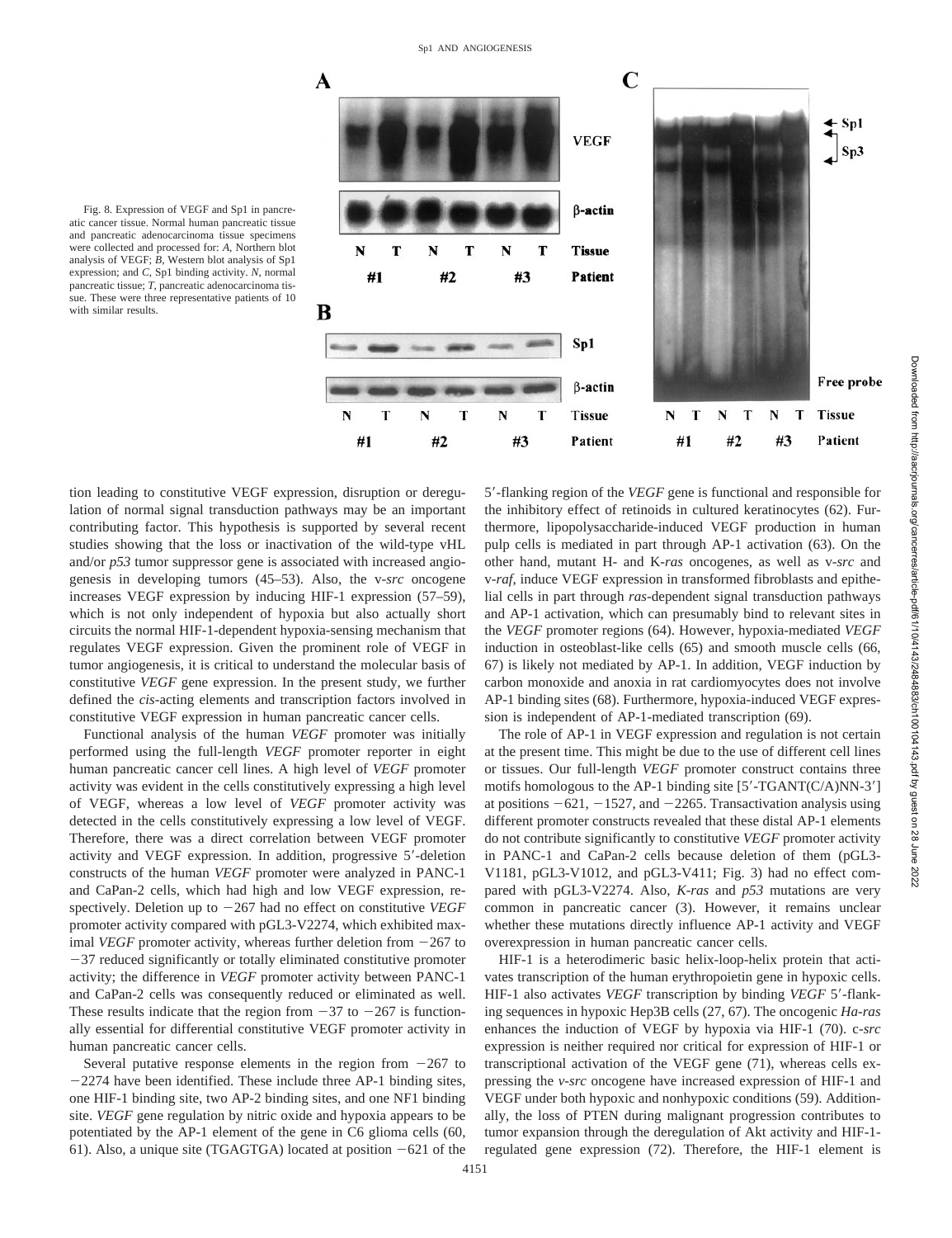

Fig. 8. Expression of VEGF and Sp1 in pancreatic cancer tissue. Normal human pancreatic tissue and pancreatic adenocarcinoma tissue specimens were collected and processed for: *A*, Northern blot analysis of VEGF; *B*, Western blot analysis of Sp1 expression; and *C*, Sp1 binding activity. *N*, normal pancreatic tissue; *T*, pancreatic adenocarcinoma tissue. These were three representative patients of 10 with similar results.

tion leading to constitutive VEGF expression, disruption or deregulation of normal signal transduction pathways may be an important contributing factor. This hypothesis is supported by several recent studies showing that the loss or inactivation of the wild-type vHL and/or *p53* tumor suppressor gene is associated with increased angiogenesis in developing tumors (45–53). Also, the v-*src* oncogene increases VEGF expression by inducing HIF-1 expression (57–59), which is not only independent of hypoxia but also actually short circuits the normal HIF-1-dependent hypoxia-sensing mechanism that regulates VEGF expression. Given the prominent role of VEGF in tumor angiogenesis, it is critical to understand the molecular basis of constitutive *VEGF* gene expression. In the present study, we further defined the *cis*-acting elements and transcription factors involved in constitutive VEGF expression in human pancreatic cancer cells.

Functional analysis of the human *VEGF* promoter was initially performed using the full-length *VEGF* promoter reporter in eight human pancreatic cancer cell lines. A high level of *VEGF* promoter activity was evident in the cells constitutively expressing a high level of VEGF, whereas a low level of *VEGF* promoter activity was detected in the cells constitutively expressing a low level of VEGF. Therefore, there was a direct correlation between VEGF promoter activity and VEGF expression. In addition, progressive 5'-deletion constructs of the human *VEGF* promoter were analyzed in PANC-1 and CaPan-2 cells, which had high and low VEGF expression, respectively. Deletion up to  $-267$  had no effect on constitutive *VEGF* promoter activity compared with pGL3-V2274, which exhibited maximal *VEGF* promoter activity, whereas further deletion from  $-267$  to  $-37$  reduced significantly or totally eliminated constitutive promoter activity; the difference in *VEGF* promoter activity between PANC-1 and CaPan-2 cells was consequently reduced or eliminated as well. These results indicate that the region from  $-37$  to  $-267$  is functionally essential for differential constitutive VEGF promoter activity in human pancreatic cancer cells.

Several putative response elements in the region from  $-267$  to  $-2274$  have been identified. These include three AP-1 binding sites, one HIF-1 binding site, two AP-2 binding sites, and one NF1 binding site. *VEGF* gene regulation by nitric oxide and hypoxia appears to be potentiated by the AP-1 element of the gene in C6 glioma cells (60, 61). Also, a unique site (TGAGTGA) located at position  $-621$  of the

5'-flanking region of the *VEGF* gene is functional and responsible for the inhibitory effect of retinoids in cultured keratinocytes (62). Furthermore, lipopolysaccharide-induced VEGF production in human pulp cells is mediated in part through AP-1 activation (63). On the other hand, mutant H- and K-*ras* oncogenes, as well as v-*src* and v-*raf*, induce VEGF expression in transformed fibroblasts and epithelial cells in part through *ras*-dependent signal transduction pathways and AP-1 activation, which can presumably bind to relevant sites in the *VEGF* promoter regions (64). However, hypoxia-mediated *VEGF* induction in osteoblast-like cells (65) and smooth muscle cells (66, 67) is likely not mediated by AP-1. In addition, VEGF induction by carbon monoxide and anoxia in rat cardiomyocytes does not involve AP-1 binding sites (68). Furthermore, hypoxia-induced VEGF expression is independent of AP-1-mediated transcription (69).

The role of AP-1 in VEGF expression and regulation is not certain at the present time. This might be due to the use of different cell lines or tissues. Our full-length *VEGF* promoter construct contains three motifs homologous to the AP-1 binding site  $[5'-TGANT(C/A)NN-3']$ at positions  $-621$ ,  $-1527$ , and  $-2265$ . Transactivation analysis using different promoter constructs revealed that these distal AP-1 elements do not contribute significantly to constitutive *VEGF* promoter activity in PANC-1 and CaPan-2 cells because deletion of them (pGL3- V1181, pGL3-V1012, and pGL3-V411; Fig. 3) had no effect compared with pGL3-V2274. Also, *K-ras* and *p53* mutations are very common in pancreatic cancer (3). However, it remains unclear whether these mutations directly influence AP-1 activity and VEGF overexpression in human pancreatic cancer cells.

HIF-1 is a heterodimeric basic helix-loop-helix protein that activates transcription of the human erythropoietin gene in hypoxic cells. HIF-1 also activates *VEGF* transcription by binding *VEGF* 5'-flanking sequences in hypoxic Hep3B cells (27, 67). The oncogenic *Ha-ras* enhances the induction of VEGF by hypoxia via HIF-1 (70). c-*src* expression is neither required nor critical for expression of HIF-1 or transcriptional activation of the VEGF gene (71), whereas cells expressing the *v-src* oncogene have increased expression of HIF-1 and VEGF under both hypoxic and nonhypoxic conditions (59). Additionally, the loss of PTEN during malignant progression contributes to tumor expansion through the deregulation of Akt activity and HIF-1 regulated gene expression (72). Therefore, the HIF-1 element is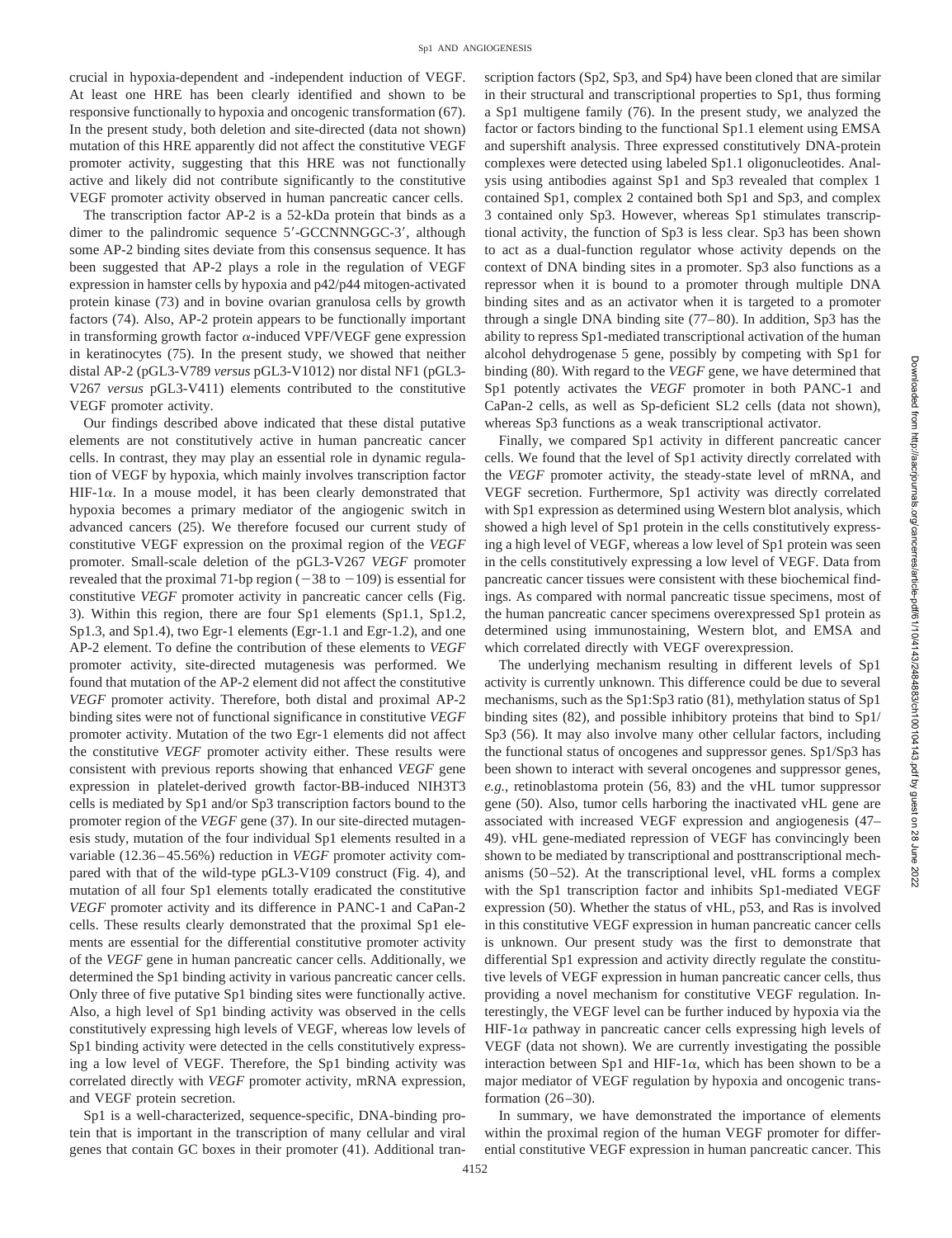crucial in hypoxia-dependent and -independent induction of VEGF. At least one HRE has been clearly identified and shown to be responsive functionally to hypoxia and oncogenic transformation (67). In the present study, both deletion and site-directed (data not shown) mutation of this HRE apparently did not affect the constitutive VEGF promoter activity, suggesting that this HRE was not functionally active and likely did not contribute significantly to the constitutive VEGF promoter activity observed in human pancreatic cancer cells.

The transcription factor AP-2 is a 52-kDa protein that binds as a dimer to the palindromic sequence 5'-GCCNNNGGC-3', although some AP-2 binding sites deviate from this consensus sequence. It has been suggested that AP-2 plays a role in the regulation of VEGF expression in hamster cells by hypoxia and p42/p44 mitogen-activated protein kinase (73) and in bovine ovarian granulosa cells by growth factors (74). Also, AP-2 protein appears to be functionally important in transforming growth factor  $\alpha$ -induced VPF/VEGF gene expression in keratinocytes (75). In the present study, we showed that neither distal AP-2 (pGL3-V789 *versus* pGL3-V1012) nor distal NF1 (pGL3- V267 *versus* pGL3-V411) elements contributed to the constitutive VEGF promoter activity.

Our findings described above indicated that these distal putative elements are not constitutively active in human pancreatic cancer cells. In contrast, they may play an essential role in dynamic regulation of VEGF by hypoxia, which mainly involves transcription factor HIF-1 $\alpha$ . In a mouse model, it has been clearly demonstrated that hypoxia becomes a primary mediator of the angiogenic switch in advanced cancers (25). We therefore focused our current study of constitutive VEGF expression on the proximal region of the *VEGF* promoter. Small-scale deletion of the pGL3-V267 *VEGF* promoter revealed that the proximal 71-bp region  $(-38 \text{ to } -109)$  is essential for constitutive *VEGF* promoter activity in pancreatic cancer cells (Fig. 3). Within this region, there are four Sp1 elements (Sp1.1, Sp1.2, Sp1.3, and Sp1.4), two Egr-1 elements (Egr-1.1 and Egr-1.2), and one AP-2 element. To define the contribution of these elements to *VEGF* promoter activity, site-directed mutagenesis was performed. We found that mutation of the AP-2 element did not affect the constitutive *VEGF* promoter activity. Therefore, both distal and proximal AP-2 binding sites were not of functional significance in constitutive *VEGF* promoter activity. Mutation of the two Egr-1 elements did not affect the constitutive *VEGF* promoter activity either. These results were consistent with previous reports showing that enhanced *VEGF* gene expression in platelet-derived growth factor-BB-induced NIH3T3 cells is mediated by Sp1 and/or Sp3 transcription factors bound to the promoter region of the *VEGF* gene (37). In our site-directed mutagenesis study, mutation of the four individual Sp1 elements resulted in a variable (12.36–45.56%) reduction in *VEGF* promoter activity compared with that of the wild-type pGL3-V109 construct (Fig. 4), and mutation of all four Sp1 elements totally eradicated the constitutive *VEGF* promoter activity and its difference in PANC-1 and CaPan-2 cells. These results clearly demonstrated that the proximal Sp1 elements are essential for the differential constitutive promoter activity of the *VEGF* gene in human pancreatic cancer cells. Additionally, we determined the Sp1 binding activity in various pancreatic cancer cells. Only three of five putative Sp1 binding sites were functionally active. Also, a high level of Sp1 binding activity was observed in the cells constitutively expressing high levels of VEGF, whereas low levels of Sp1 binding activity were detected in the cells constitutively expressing a low level of VEGF. Therefore, the Sp1 binding activity was correlated directly with *VEGF* promoter activity, mRNA expression, and VEGF protein secretion.

Sp1 is a well-characterized, sequence-specific, DNA-binding protein that is important in the transcription of many cellular and viral genes that contain GC boxes in their promoter (41). Additional transcription factors (Sp2, Sp3, and Sp4) have been cloned that are similar in their structural and transcriptional properties to Sp1, thus forming a Sp1 multigene family (76). In the present study, we analyzed the factor or factors binding to the functional Sp1.1 element using EMSA and supershift analysis. Three expressed constitutively DNA-protein complexes were detected using labeled Sp1.1 oligonucleotides. Analysis using antibodies against Sp1 and Sp3 revealed that complex 1 contained Sp1, complex 2 contained both Sp1 and Sp3, and complex 3 contained only Sp3. However, whereas Sp1 stimulates transcriptional activity, the function of Sp3 is less clear. Sp3 has been shown to act as a dual-function regulator whose activity depends on the context of DNA binding sites in a promoter. Sp3 also functions as a repressor when it is bound to a promoter through multiple DNA binding sites and as an activator when it is targeted to a promoter through a single DNA binding site (77–80). In addition, Sp3 has the ability to repress Sp1-mediated transcriptional activation of the human alcohol dehydrogenase 5 gene, possibly by competing with Sp1 for binding (80). With regard to the *VEGF* gene, we have determined that Sp1 potently activates the *VEGF* promoter in both PANC-1 and CaPan-2 cells, as well as Sp-deficient SL2 cells (data not shown), whereas Sp3 functions as a weak transcriptional activator.

Finally, we compared Sp1 activity in different pancreatic cancer cells. We found that the level of Sp1 activity directly correlated with the *VEGF* promoter activity, the steady-state level of mRNA, and VEGF secretion. Furthermore, Sp1 activity was directly correlated with Sp1 expression as determined using Western blot analysis, which showed a high level of Sp1 protein in the cells constitutively expressing a high level of VEGF, whereas a low level of Sp1 protein was seen in the cells constitutively expressing a low level of VEGF. Data from pancreatic cancer tissues were consistent with these biochemical findings. As compared with normal pancreatic tissue specimens, most of the human pancreatic cancer specimens overexpressed Sp1 protein as determined using immunostaining, Western blot, and EMSA and which correlated directly with VEGF overexpression.

The underlying mechanism resulting in different levels of Sp1 activity is currently unknown. This difference could be due to several mechanisms, such as the Sp1:Sp3 ratio (81), methylation status of Sp1 binding sites (82), and possible inhibitory proteins that bind to Sp1/ Sp3 (56). It may also involve many other cellular factors, including the functional status of oncogenes and suppressor genes. Sp1/Sp3 has been shown to interact with several oncogenes and suppressor genes, *e.g.*, retinoblastoma protein (56, 83) and the vHL tumor suppressor gene (50). Also, tumor cells harboring the inactivated vHL gene are associated with increased VEGF expression and angiogenesis (47– 49). vHL gene-mediated repression of VEGF has convincingly been shown to be mediated by transcriptional and posttranscriptional mechanisms (50–52). At the transcriptional level, vHL forms a complex with the Sp1 transcription factor and inhibits Sp1-mediated VEGF expression (50). Whether the status of vHL, p53, and Ras is involved in this constitutive VEGF expression in human pancreatic cancer cells is unknown. Our present study was the first to demonstrate that differential Sp1 expression and activity directly regulate the constitutive levels of VEGF expression in human pancreatic cancer cells, thus providing a novel mechanism for constitutive VEGF regulation. Interestingly, the VEGF level can be further induced by hypoxia via the HIF-1 $\alpha$  pathway in pancreatic cancer cells expressing high levels of VEGF (data not shown). We are currently investigating the possible interaction between Sp1 and HIF-1 $\alpha$ , which has been shown to be a major mediator of VEGF regulation by hypoxia and oncogenic transformation (26–30).

In summary, we have demonstrated the importance of elements within the proximal region of the human VEGF promoter for differential constitutive VEGF expression in human pancreatic cancer. This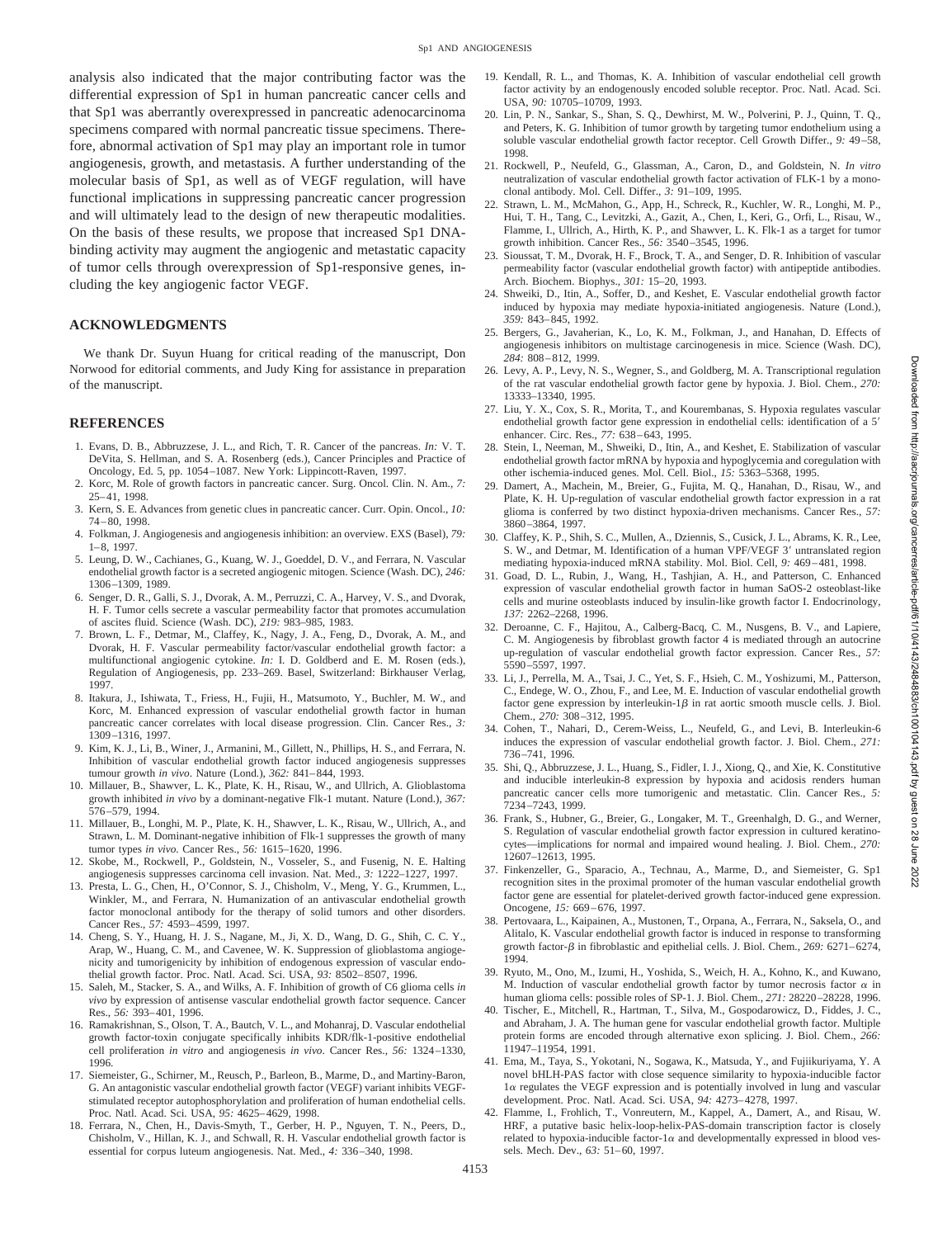analysis also indicated that the major contributing factor was the differential expression of Sp1 in human pancreatic cancer cells and that Sp1 was aberrantly overexpressed in pancreatic adenocarcinoma specimens compared with normal pancreatic tissue specimens. Therefore, abnormal activation of Sp1 may play an important role in tumor angiogenesis, growth, and metastasis. A further understanding of the molecular basis of Sp1, as well as of VEGF regulation, will have functional implications in suppressing pancreatic cancer progression and will ultimately lead to the design of new therapeutic modalities. On the basis of these results, we propose that increased Sp1 DNAbinding activity may augment the angiogenic and metastatic capacity of tumor cells through overexpression of Sp1-responsive genes, including the key angiogenic factor VEGF.

#### **ACKNOWLEDGMENTS**

We thank Dr. Suyun Huang for critical reading of the manuscript, Don Norwood for editorial comments, and Judy King for assistance in preparation of the manuscript.

#### **REFERENCES**

- 1. Evans, D. B., Abbruzzese, J. L., and Rich, T. R. Cancer of the pancreas. *In:* V. T. DeVita, S. Hellman, and S. A. Rosenberg (eds.), Cancer Principles and Practice of Oncology, Ed. 5, pp. 1054–1087. New York: Lippincott-Raven, 1997.
- 2. Korc, M. Role of growth factors in pancreatic cancer. Surg. Oncol. Clin. N. Am., *7:* 25–41, 1998.
- 3. Kern, S. E. Advances from genetic clues in pancreatic cancer. Curr. Opin. Oncol., *10:* 74–80, 1998.
- 4. Folkman, J. Angiogenesis and angiogenesis inhibition: an overview. EXS (Basel), *79:* 1–8, 1997.
- 5. Leung, D. W., Cachianes, G., Kuang, W. J., Goeddel, D. V., and Ferrara, N. Vascular endothelial growth factor is a secreted angiogenic mitogen. Science (Wash. DC), *246:* 1306–1309, 1989.
- 6. Senger, D. R., Galli, S. J., Dvorak, A. M., Perruzzi, C. A., Harvey, V. S., and Dvorak, H. F. Tumor cells secrete a vascular permeability factor that promotes accumulation of ascites fluid. Science (Wash. DC), *219:* 983–985, 1983.
- 7. Brown, L. F., Detmar, M., Claffey, K., Nagy, J. A., Feng, D., Dvorak, A. M., and Dvorak, H. F. Vascular permeability factor/vascular endothelial growth factor: a multifunctional angiogenic cytokine. *In:* I. D. Goldberd and E. M. Rosen (eds.), Regulation of Angiogenesis, pp. 233–269. Basel, Switzerland: Birkhauser Verlag, 1997.
- 8. Itakura, J., Ishiwata, T., Friess, H., Fujii, H., Matsumoto, Y., Buchler, M. W., and Korc, M. Enhanced expression of vascular endothelial growth factor in human pancreatic cancer correlates with local disease progression. Clin. Cancer Res., *3:* 1309–1316, 1997.
- 9. Kim, K. J., Li, B., Winer, J., Armanini, M., Gillett, N., Phillips, H. S., and Ferrara, N. Inhibition of vascular endothelial growth factor induced angiogenesis suppresses tumour growth *in vivo*. Nature (Lond.), *362:* 841–844, 1993.
- 10. Millauer, B., Shawver, L. K., Plate, K. H., Risau, W., and Ullrich, A. Glioblastoma growth inhibited *in vivo* by a dominant-negative Flk-1 mutant. Nature (Lond.), *367:* 576–579, 1994.
- 11. Millauer, B., Longhi, M. P., Plate, K. H., Shawver, L. K., Risau, W., Ullrich, A., and Strawn, L. M. Dominant-negative inhibition of Flk-1 suppresses the growth of many tumor types *in vivo*. Cancer Res., *56:* 1615–1620, 1996.
- 12. Skobe, M., Rockwell, P., Goldstein, N., Vosseler, S., and Fusenig, N. E. Halting angiogenesis suppresses carcinoma cell invasion. Nat. Med., *3:* 1222–1227, 1997.
- 13. Presta, L. G., Chen, H., O'Connor, S. J., Chisholm, V., Meng, Y. G., Krummen, L., Winkler, M., and Ferrara, N. Humanization of an antivascular endothelial growth factor monoclonal antibody for the therapy of solid tumors and other disorders. Cancer Res., *57:* 4593–4599, 1997.
- 14. Cheng, S. Y., Huang, H. J. S., Nagane, M., Ji, X. D., Wang, D. G., Shih, C. C. Y., Arap, W., Huang, C. M., and Cavenee, W. K. Suppression of glioblastoma angiogenicity and tumorigenicity by inhibition of endogenous expression of vascular endothelial growth factor. Proc. Natl. Acad. Sci. USA, *93:* 8502–8507, 1996.
- 15. Saleh, M., Stacker, S. A., and Wilks, A. F. Inhibition of growth of C6 glioma cells *in vivo* by expression of antisense vascular endothelial growth factor sequence. Cancer Res., *56:* 393–401, 1996.
- 16. Ramakrishnan, S., Olson, T. A., Bautch, V. L., and Mohanraj, D. Vascular endothelial growth factor-toxin conjugate specifically inhibits KDR/flk-1-positive endothelial cell proliferation *in vitro* and angiogenesis *in vivo*. Cancer Res., *56:* 1324–1330, 1996.
- 17. Siemeister, G., Schirner, M., Reusch, P., Barleon, B., Marme, D., and Martiny-Baron, G. An antagonistic vascular endothelial growth factor (VEGF) variant inhibits VEGFstimulated receptor autophosphorylation and proliferation of human endothelial cells. Proc. Natl. Acad. Sci. USA, *95:* 4625–4629, 1998.
- 18. Ferrara, N., Chen, H., Davis-Smyth, T., Gerber, H. P., Nguyen, T. N., Peers, D., Chisholm, V., Hillan, K. J., and Schwall, R. H. Vascular endothelial growth factor is essential for corpus luteum angiogenesis. Nat. Med., *4:* 336–340, 1998.
- 19. Kendall, R. L., and Thomas, K. A. Inhibition of vascular endothelial cell growth factor activity by an endogenously encoded soluble receptor. Proc. Natl. Acad. Sci. USA, *90:* 10705–10709, 1993.
- 20. Lin, P. N., Sankar, S., Shan, S. Q., Dewhirst, M. W., Polverini, P. J., Quinn, T. Q., and Peters, K. G. Inhibition of tumor growth by targeting tumor endothelium using a soluble vascular endothelial growth factor receptor. Cell Growth Differ., *9:* 49–58, 1998.
- 21. Rockwell, P., Neufeld, G., Glassman, A., Caron, D., and Goldstein, N. *In vitro* neutralization of vascular endothelial growth factor activation of FLK-1 by a monoclonal antibody. Mol. Cell. Differ., *3:* 91–109, 1995.
- 22. Strawn, L. M., McMahon, G., App, H., Schreck, R., Kuchler, W. R., Longhi, M. P., Hui, T. H., Tang, C., Levitzki, A., Gazit, A., Chen, I., Keri, G., Orfi, L., Risau, W., Flamme, I., Ullrich, A., Hirth, K. P., and Shawver, L. K. Flk-1 as a target for tumor growth inhibition. Cancer Res., *56:* 3540–3545, 1996.
- 23. Sioussat, T. M., Dvorak, H. F., Brock, T. A., and Senger, D. R. Inhibition of vascular permeability factor (vascular endothelial growth factor) with antipeptide antibodies. Arch. Biochem. Biophys., *301:* 15–20, 1993.
- 24. Shweiki, D., Itin, A., Soffer, D., and Keshet, E. Vascular endothelial growth factor induced by hypoxia may mediate hypoxia-initiated angiogenesis. Nature (Lond.), *359:* 843–845, 1992.
- 25. Bergers, G., Javaherian, K., Lo, K. M., Folkman, J., and Hanahan, D. Effects of angiogenesis inhibitors on multistage carcinogenesis in mice. Science (Wash. DC), *284:* 808–812, 1999.
- 26. Levy, A. P., Levy, N. S., Wegner, S., and Goldberg, M. A. Transcriptional regulation of the rat vascular endothelial growth factor gene by hypoxia. J. Biol. Chem., *270:* 13333–13340, 1995.
- 27. Liu, Y. X., Cox, S. R., Morita, T., and Kourembanas, S. Hypoxia regulates vascular endothelial growth factor gene expression in endothelial cells: identification of a 5' enhancer. Circ. Res., *77:* 638–643, 1995.
- 28. Stein, I., Neeman, M., Shweiki, D., Itin, A., and Keshet, E. Stabilization of vascular endothelial growth factor mRNA by hypoxia and hypoglycemia and coregulation with other ischemia-induced genes. Mol. Cell. Biol., *15:* 5363–5368, 1995.
- 29. Damert, A., Machein, M., Breier, G., Fujita, M. Q., Hanahan, D., Risau, W., and Plate, K. H. Up-regulation of vascular endothelial growth factor expression in a rat glioma is conferred by two distinct hypoxia-driven mechanisms. Cancer Res., *57:* 3860–3864, 1997.
- 30. Claffey, K. P., Shih, S. C., Mullen, A., Dziennis, S., Cusick, J. L., Abrams, K. R., Lee, S. W., and Detmar, M. Identification of a human VPF/VEGF 3' untranslated region mediating hypoxia-induced mRNA stability. Mol. Biol. Cell, *9:* 469–481, 1998.
- 31. Goad, D. L., Rubin, J., Wang, H., Tashjian, A. H., and Patterson, C. Enhanced expression of vascular endothelial growth factor in human SaOS-2 osteoblast-like cells and murine osteoblasts induced by insulin-like growth factor I. Endocrinology, *137:* 2262–2268, 1996.
- 32. Deroanne, C. F., Hajitou, A., Calberg-Bacq, C. M., Nusgens, B. V., and Lapiere, C. M. Angiogenesis by fibroblast growth factor 4 is mediated through an autocrine up-regulation of vascular endothelial growth factor expression. Cancer Res., *57:* 5590–5597, 1997.
- 33. Li, J., Perrella, M. A., Tsai, J. C., Yet, S. F., Hsieh, C. M., Yoshizumi, M., Patterson, C., Endege, W. O., Zhou, F., and Lee, M. E. Induction of vascular endothelial growth factor gene expression by interleukin- $1\beta$  in rat aortic smooth muscle cells. J. Biol. Chem., *270:* 308–312, 1995.
- 34. Cohen, T., Nahari, D., Cerem-Weiss, L., Neufeld, G., and Levi, B. Interleukin-6 induces the expression of vascular endothelial growth factor. J. Biol. Chem., *271:* 736–741, 1996.
- 35. Shi, Q., Abbruzzese, J. L., Huang, S., Fidler, I. J., Xiong, Q., and Xie, K. Constitutive and inducible interleukin-8 expression by hypoxia and acidosis renders human pancreatic cancer cells more tumorigenic and metastatic. Clin. Cancer Res., *5:* 7234–7243, 1999.
- 36. Frank, S., Hubner, G., Breier, G., Longaker, M. T., Greenhalgh, D. G., and Werner, S. Regulation of vascular endothelial growth factor expression in cultured keratinocytes—implications for normal and impaired wound healing. J. Biol. Chem., *270:* 12607–12613, 1995.
- 37. Finkenzeller, G., Sparacio, A., Technau, A., Marme, D., and Siemeister, G. Sp1 recognition sites in the proximal promoter of the human vascular endothelial growth factor gene are essential for platelet-derived growth factor-induced gene expression. Oncogene, *15:* 669–676, 1997.
- 38. Pertovaara, L., Kaipainen, A., Mustonen, T., Orpana, A., Ferrara, N., Saksela, O., and Alitalo, K. Vascular endothelial growth factor is induced in response to transforming growth factor- $\beta$  in fibroblastic and epithelial cells. J. Biol. Chem., 269: 6271-6274, 1994.
- 39. Ryuto, M., Ono, M., Izumi, H., Yoshida, S., Weich, H. A., Kohno, K., and Kuwano, M. Induction of vascular endothelial growth factor by tumor necrosis factor  $\alpha$  in human glioma cells: possible roles of SP-1. J. Biol. Chem., *271:* 28220–28228, 1996.
- 40. Tischer, E., Mitchell, R., Hartman, T., Silva, M., Gospodarowicz, D., Fiddes, J. C., and Abraham, J. A. The human gene for vascular endothelial growth factor. Multiple protein forms are encoded through alternative exon splicing. J. Biol. Chem., *266:* 11947–11954, 1991.
- 41. Ema, M., Taya, S., Yokotani, N., Sogawa, K., Matsuda, Y., and Fujiikuriyama, Y. A novel bHLH-PAS factor with close sequence similarity to hypoxia-inducible factor  $1\alpha$  regulates the VEGF expression and is potentially involved in lung and vascular development. Proc. Natl. Acad. Sci. USA, *94:* 4273–4278, 1997.
- 42. Flamme, I., Frohlich, T., Vonreutern, M., Kappel, A., Damert, A., and Risau, W. HRF, a putative basic helix-loop-helix-PAS-domain transcription factor is closely related to hypoxia-inducible factor-1 $\alpha$  and developmentally expressed in blood vessels. Mech. Dev., *63:* 51–60, 1997.